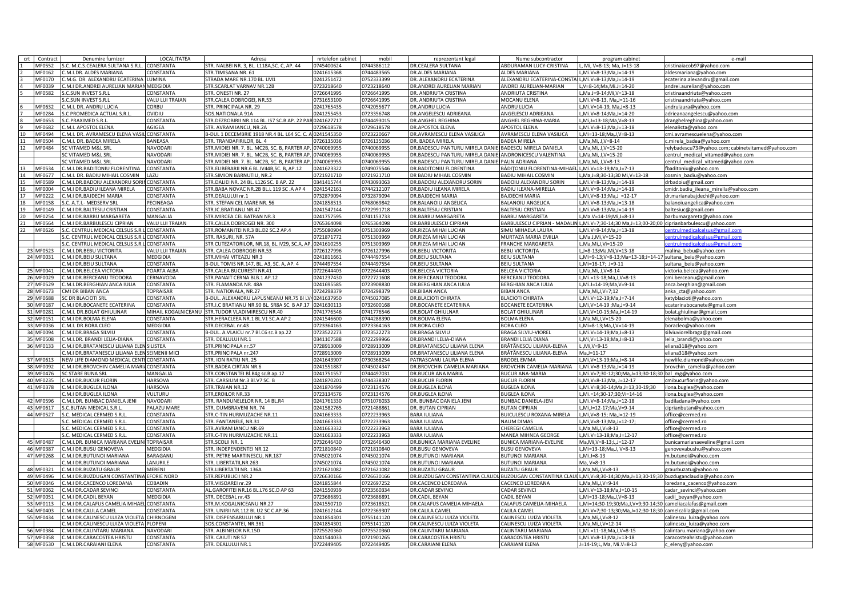| crt<br>Contract        | Denumire furnizor                                 | LOCALITATEA          | Adresa                                                    | nrtelefon cabinet        | mobil                    | reprezentant legal                                                                                | Nume subcontractor                                 | program cabinet                                                 | e-mail                                           |
|------------------------|---------------------------------------------------|----------------------|-----------------------------------------------------------|--------------------------|--------------------------|---------------------------------------------------------------------------------------------------|----------------------------------------------------|-----------------------------------------------------------------|--------------------------------------------------|
| MF0552                 | S.C. M.C.S.CEALERA SULTANA S.R.L.                 | CONSTANTA            | STR. NALBEI NR. 3, BL. L118A, SC. C, AP. 44               | 0745400624               | 0744386112               | DR.CEALERA SULTANA                                                                                | ABDURAMAN LUCY-CRISTINA                            | L, Mi, V=8-13; Ma, J=13-18                                      | cristinaiacob97@yahoo.com                        |
| MF0162                 | C.M.I.DR. ALDES MARIANA                           | CONSTANTA            | STR.TIMISANA NR. 61                                       | 0241615368               | 0744483565               | DR.ALDES MARIANA                                                                                  | <b>ALDES MARIANA</b>                               | L.Mi.V=8-13:Ma.J=14-19                                          | aldesmariana@yahoo.com                           |
| MF0170                 | C.M.G. DR. ALEXANDRU ECATERINA LUMINA             |                      | STRADA MARE NR.170 BL. LM1                                | 0241251472               | 0752333399               | DR. ALEXANDRU ECATERINA                                                                           | ALEXANDRU ECATERINA-CONST                          | L,Mi.V=8-13;Ma,J=14-19                                          | ecaterina.alexandru@gmail.com                    |
| MF0039                 | C.M.I DR.ANDREI AURELIAN MARIAN MEDGIDIA          |                      | STR.SCARLAT VARNAV NR.12B                                 | 0723218640               | 0723218640               | DR.ANDREI AURELIAN MARIAN                                                                         | ANDREI AURELIAN-MARIAN                             | L,V=8-14;Ma,Mi.J=14-20                                          | andrei.aurelian@yahoo.com                        |
| MF0582                 | S.C.SUN INVEST S.R.L                              | CONSTANTA            | STR. ONESTI NR. 27                                        | 0726641995               | 0726641995               | DR. ANDRIUTA CRISTINA                                                                             | ANDRIUTA CRISTINA                                  | L.Ma.J=9-14:Mi.V=13-18                                          | cristinaandriuta@yahoo.com                       |
|                        | S.C.SUN INVEST S.R.L                              | VALU LUI TRAIAN      | STR.CALEA DOBROGEI, NR.53                                 | 0731653100               | 0726641995               | DR. ANDRIUTA CRISTINA                                                                             | MOCANU ELENA                                       | L,Mi.V=8-13, Ma,J=11-16                                         | cristinaandriuta@yahoo.com                       |
| MF0632                 | C.M.I. DR. ANDRU LUCIA                            | CORBU                | STR. PRINCIPALA NR. 29                                    | 0241765435               | 0742055677               | DR.ANDRU LUCIA                                                                                    | ANDRU LUCIA                                        | L, Mi. V=14-19, Ma, J=8-13                                      | andrulaura@yahoo.com                             |
| MF0284                 | S.C PROMEDICA ACTUAL S.R.L.                       | OVIDIU               | SOS.NATIONALA 91A                                         | 0241255453               | 0723356748               | DR.ANGELESCU ADRIEANA                                                                             | ANGELESCU ADRIEANA                                 | L,Mi.V=8-14;Ma,J=14-20                                          | adrieanaangelescu@yahoo.com                      |
| MF0653                 | .C.PRAXIMED S.R.L                                 | CONSTANTA            | STR.DEZROBIRII NR.114 BL. IS7 SC.B AP. 22 PAR 0241627717  |                          | 0744493015               | DR.ANGHEL REGHINA                                                                                 | ANGHEL REGHINA-MARIA                               |                                                                 |                                                  |
| MF0682                 | .M.I. APOSTOL ELENA                               | AGIGEA               | STR. AVRAM JANCU, NR.2A                                   | 0729618578               | 0729618578               | DR.APOSTOL ELENA                                                                                  | <b>APOSTOL ELENA</b>                               | L,Mi,J=13-18;Ma,V=8-13<br>L, Mi. V=8-13; Ma, J=13-18            | Iranghelreghina@yahoo.com                        |
|                        |                                                   |                      |                                                           |                          |                          |                                                                                                   |                                                    |                                                                 | lena9cta@yahoo.com                               |
| 10<br>MF0494           | .M.I. DR. AVRAMESCU ELENA VASIL CONSTANTA         |                      | 3-DUL 1 DECEMBRIE 1918 NR.4 BL. L64 SC. C. A 0241545350   |                          | 0723220667               | DR.AVRAMESCU ELENA VASILICA                                                                       | <b>VRAMESCU ELENA VASILICA</b>                     | L.Mi=13-18:Ma.J.V=8-13                                          | mi.avramescuelena@yahoo.com                      |
| 11<br>MF0504           | .M.I. DR. BADEA MIRELA                            | <b>BANEASA</b>       | STR. TRANDAFIRILOR, BL. 4                                 | 0726135036               | 0726135036               | DR. BADEA MIRELA                                                                                  | ADEA MIRELA                                        | ,Ma,Mi, J,V=8-14                                                | mirela badea@yahoo.com                           |
| 12<br>MF0484           | C VITAMED M&L SRL                                 | NAVODARI             | STR. MIDIEI NR. 7. BL. MC2B, SC. B, PARTER AP. 0740069955 |                          | 0740069955               | DR.BADESCU PANTURU MIRELA DANIE                                                                   | BADESCU MIRELA DANIELA                             | "Ma,Mi, J,V=15-20                                               | elybadescu73@yahoo.com; cabinetvitamed@yahoo.com |
|                        | SC VITAMED M&L SRL                                | NAVODARI             | STR. MIDIEI NR. 7. BL. MC2B, SC. B, PARTER AP. 0740069955 |                          | 0740069955               | DR.BADESCU PANTURU MIRELA DANIEI                                                                  | ANDRONICESCU VALENTINA                             | L, Ma, Mi, J, V=15-20                                           | centrul medical vitamed@yahoo.com                |
|                        | SC VITAMED M&L SRL                                | NAVODARI             | STR. MIDIEI NR. 7. BL. MC2B, SC. B, PARTER AP. 0740069955 |                          | 0740069955               | DR.BADESCU PANTURU MIRELA DANIEI                                                                  | PAUN ADRIANA                                       | L.Ma.Mi. J.V=8-13                                               | centrul medical vitamed@yahoo.com                |
| 13<br>MF0534           | C.M.I.DR.BADITONIU FLORENTINA                     | CONSTANTA            | STR.ELIBERARII NR.6 BL.IV44B,SC. B, AP.12                 | 0241623322               | 0749075546               | DR.BADITONIU FLORENTINA                                                                           | 3ĂDIȚONIU FLORENTINA-MIHAEL L,Mi.V=13-19;Ma,J=7-13 |                                                                 | baditoniu@yahoo.com                              |
| 14<br>MF0677           | C.M.I. DR. BADIU MIHAIL COSMIN                    | LAZU                 | STR.SIMION BARNUTIU. NR.2                                 | 0721921710               | 0721921710               | DR BADIU MIHAIL COSMIN                                                                            | <b>BADIU MIHAIL COSMIN</b>                         | L.Ma.J=8:30-13:30 Mi.V=13-18                                    | cosmin_badiu@yahoo.com                           |
| 15<br>MF0589           | C.M.I.DR.BADOIU ALEXANDRU SORIN                   | CONSTANTA            | STR.DALIEI NR. 24 BL. L126 SC. B AP. 22                   | 0341415744               | 0743093063               | DR. BADOIU ALEXANDRU SORIN                                                                        | <b>BADOIU ALEXANDRU SORIN</b>                      | L,Mi.V=8-13;Ma,J=14-19                                          | drbadoiu@gmail.com                               |
| 16<br>MF0004           | .M.I DR.BADIU ILEANA MIRELA                       | CONSTANTA            | STR.BABA NOVAC NR.2B BL.L 119 SC .A AP 4                  | 0241542161               | 0744212107               | DR.BADIU ILEANA MIRELA                                                                            | <b>BADIU ILEANA-MIRELLA</b>                        | L,Mi.V=9-14;Ma,J=14-19                                          | midr.badiu_ileana_mirella@yahoo.com              |
| 17<br>MF0222           | .M.I DR.BAJDECHI MARIA                            | CONSTANTA            | STR.DEALULUI nr.1                                         | 0732879094               | 0732879094               | DR.BAJDECHI MARIA                                                                                 | <b>BAJDECHI MARIA</b>                              | L, Mi, V=8-13; Ma, J = 12-17                                    | dr.marianabajdechi@yahoo.com                     |
| 18<br>MF0158           | S.C. A.T.I.- MEDSERV SRL                          | PECINEAGA            | STR. STEFAN CEL MARE NR. 56                               | 0241858513               | 0768069842               | DR.BALANOIU ANGELICA                                                                              | <b>BALANOIU ANGELICA</b>                           | L,Mi.V=8-13;Ma,J=13-18                                          | balanoiuangelica@yahoo.com                       |
| 19<br>MF0149           | .M.I DR.BALTESIU CRISTIAN                         | CONSTANTA            | STR.IC.BRATIANU NR.47                                     | 0241547144               | 0722991718               | DR.BALTESIU CRISTIAN                                                                              | <b>BALTESIU CRISTIAN</b>                           | L,Mi.V=8-13;Ma,J=14-19                                          | altesiuc@gmail.com                               |
| 20<br>MF0254           | .M.I DR.BARBU MARGARETA                           | MANGALIA             | STR. MIRCEA CEL BATRAN NR.3                               | 0241757595               | 0741153733               | <b>DR.BARBU MARGARETA</b>                                                                         | BARBU MARGARETA                                    | L, Ma.V=14-19; Mi, J=8-13                                       | arbumargareta@yahoo.com                          |
| 21<br>MF0564           | .M.I DR.BARBULESCU CIPRIAN                        | VALU LUI TRAIAN      | STR.CALEA DOBROGEI NR. 300                                | 0765364098               | 0765364098               | DR.BARBULESCU CIPRIAN                                                                             |                                                    | 3ARBULESCU CIPRIAN - MADALIN L,Mi.V=7;30-14;30 Ma,J=13;00-20;00 | ciprianbarbulescu@yahoo.com                      |
| 22<br>MF0626           | S.C. CENTRUL MEDICAL CELSUS S.R.                  | CONSTANTA            | STR.ROMANITEI NR.3 BL.D2 SC.2 AP.4                        | 0755080904               | 0751303969               | DR.RIZEA MIHAI LUCIAN                                                                             | <b>SIMU MIHAELA LAURA</b>                          | L,Mi.V=9-14;Ma,J=13-18                                          | ntrulmedicalcelsus@gmail.com                     |
|                        | S.C. CENTRUL MEDICAL CELSUS S.R.L CONSTANTA       |                      | STR. RASURI, NR. 57A                                      | 0721871772               | 0751303969               | DR.RIZEA MIHAI LUCIAN                                                                             | MURTAZA MARIA EMILIA                               | L,Ma.J,Mi,V=15-20                                               | entrulmedicalcelsus@gmail.com                    |
|                        | S.C. CENTRUL MEDICAL CELSUS S.R.L CONSTANTA       |                      | STR CUTEZATORILOR, NR.18, BL.IV29, SC.A, AP. 0241610255   |                          | 0751303969               | DR.RIZEA MIHAI LUCIAN                                                                             | <b>FRANCHE MARGARETA</b>                           | L.Ma,Mi,J,Vi=15-20                                              | ntrulmedicalcelsus@gmail.com                     |
| 23 MF0523              | C.M.I.DR.BEBU VICTORITA                           | VALU LUI TRAIAN      | STR. CALEA DOBROGEI NR.53                                 | 0726127996               | 0726127996               | DR.BEBU VICTORITA                                                                                 | <b>BEBU VICTORITA</b>                              | L,J=8-13;Ma,Mi,V=13-18                                          | malina_bebu@yahoo.com                            |
| 24 MF0031              | C.M.I DR.BEIU SULTANA                             | MEDGIDIA             | STR. MIHAI VITEAZU NR.3                                   | 0241811661               | 0744497554               | DR.BEIU SULTANA                                                                                   | <b>BEIU SULTANA</b>                                | L,Mi=9-13;V=8-13;Ma=13-18;J=14-17 sultana beiu@yahoo.com        |                                                  |
|                        | C.M.I DR.BEIU SULTANA                             | CONSTANTA            | B-DUL TOMIS NR.147, BL, A3, SC, A, AP, 4                  | 0744497554               | 0744497554               | DR.BEIU SULTANA                                                                                   | <b>BEIU SULTANA</b>                                | L.Mi=16-17: J=9-11                                              | sultana_beiu@yahoo.com                           |
| 25 MF0041              | C.M.I.DR.BELCEA VICTORIA                          | POARTA ALBA          | STR.CALEA BUCURESTI NR.41                                 | 0722644403               | 0722644403               | <b>DR.BELCEA VICTORIA</b>                                                                         | BELCEA VICTORIA                                    | L,Ma,Mi, J,V=8-14                                               |                                                  |
| 26 MF0029              | C.M.I DR.BERCEANU TEODORA                         | CERNAVODA            | STR.PANAIT CERNA BLB.1 AP.12                              | 0241237430               | 0722721608               | DR.BERCEANU TEODORA                                                                               | BERCEANU TEODORA                                   | L, Mi.=13-18; Ma, J, V=8-13                                     | victoria.belcea@yahoo.com                        |
|                        |                                                   |                      | STR. FLAMANDA NR. 48A                                     | 0241695585               |                          |                                                                                                   |                                                    |                                                                 | mi.berceanu@gmail.com                            |
| 27 MF0529              | C.M.I.DR.BERGHIAN ANCA IULIA                      | CONSTANTA            |                                                           |                          | 0723908830               | DR.BERGHIAN ANCA IULIA                                                                            | BERGHIAN ANCA IULIA                                | L,Mi.J=14-19;Ma,V=9-14                                          | anca.berghian@gmail.com                          |
| 28 MF0673              | CMI DR BIBAN ANCA                                 | <b>TOPRAISAR</b>     | STR. NATIONALA, NR.27                                     | 0724298379               | 0724298379               | <b>DR.BIBAN ANCA</b>                                                                              | <b>BIBAN ANCA</b>                                  | L,Ma,Mi,J,V=7;12                                                | anka cta@yahoo.com                               |
| 29 MF0688              | SC DR BLACIOTI SRI                                | CONSTANTA            | B-DUL. ALEXANDRU LAPUSNEANU NR.75 BI LV40241637950        |                          | 0745027085               | DR.BLACIOTI CHIRATA                                                                               | <b>BLACIOTI CHIRATA</b>                            | L,Mi.V=12-19;Ma,J=7-14                                          | etyblacioti@yahoo.com                            |
| 30 MF0187              | .M.I DR.BOCANETE ECATERINA                        | CONSTANTA            | STR.I.C BRATIANU NR.90 BL. SR8A SC. B AP.17 0241630113    |                          | 0732600168               | DR.BOCANETE ECATERINA                                                                             | <b>BOCANETE ECATERINA</b>                          | L,Mi,V=14-19 ;Ma,J=9-14                                         | caterinabocanete@gmail.com                       |
| 31 MF0281              | .M.I. DR.BOLAT GHIULINAR                          | MIHAIL KOGALNICEANU  | STR.TUDOR VLADIMIRESCU NR.40                              | 0741776546               | 0741776546               | DR.BOLAT GHIULNAR                                                                                 | <b>OLAT GHIULINAR</b>                              | .Mi.V=10-15:Ma.J=14-19                                          | olat.ghiulinar@gmail.com                         |
| 32 MF0151              | .M.I DR.BOLMA ELENA                               | CONSTANTA            | STR.HERACLEEA NR.1 BL.V1 SC.A AP 2                        | 0241546600               | 0744288390               | DR.BOLMA ELENA                                                                                    | <b>OLMA ELENA</b>                                  | "Ma,Mi,J,V=15-20                                                | lenabolma@yahoo.com                              |
| 33 MF0036              | .M.I. DR.BORA CLEO                                | <b>MEDGIDIA</b>      | STR.DECEBAL nr.43                                         | 0723364163               | 0723364163               | DR.BORA CLEO                                                                                      | <b>BORA CLEO</b>                                   | .Mi=8-13;Ma,J,V=14-19                                           | boracleo@yahoo.com                               |
| 34 MF0094              | .M.I DR.BRAGA SILVIU                              | CONSTANTA            | B-DUL. A.VLAICU nr.7 Bl.C6 sc.B ap.22                     | 0723522273               | 0723522273               | DR.BRAGA SILVIU                                                                                   | BRAGA SILVIU-VIOREL                                | L, Mi.V=14-19; Ma, J=8-13                                       | silviuviorelbraga@gmail.com                      |
| 35 MF0508              | .M.I.DR. BRANDI LELIA-DIANA                       | CONSTANTA            | STR. DEALULUI NR.1                                        | 0341107588               | 0722299966               | DR.BRANDI LELIA-DIANA                                                                             | BRANDI LELIA DIANA                                 | L, Mi, V=13-18; Ma, J=8-13                                      | lelia brandi@yahoo.com                           |
| 36 MF0133              | C.M.I DR.BRATANESCU LILIANA ELEN                  | SILISTEA             | STR.PRINCIPALA nr.57                                      | 0728913009               | 0728913009               | DR.BRATANESCU LILIANA ELENA                                                                       | BRĂTĂNESCU LILIANA-ELENA                           | L,Mi,V=9-15                                                     | eliana318@yahoo.com                              |
|                        | C.M.I DR.BRATANESCU LILIANA ELEN SEIMENII MICI    |                      | STR.PRINCIPALA nr.247                                     | 0728913009               | 0728913009               | DR.BRATANESCU LILIANA ELENA                                                                       | BRĂTĂNESCU LILIANA-ELENA                           | $Ma.J = 11-17$                                                  | liana318@yahoo.com                               |
| 37 MF0613              | NEW LIFE DIAMOND MEDICAL CENTI                    | CONSTANTA            | STR. ION RATIU NR. 25                                     | 0241643907               | 0730368254               | PATRASCANU LAURA ELENA                                                                            | <b>BRODEL EMMA</b>                                 | L, Mi, V=13-19; Ma, J=8-14                                      | newlife.diamond@yahoo.com                        |
| 38 MF0092              | .M.I DR.BROVCHIN CAMELIA MARIA                    | CONSTANTA            | STR. BADEA CIRTAN NR.6                                    | 0241551887               | 0745024347               | DR.BROVCHIN CAMELIA MARIANA                                                                       | <b>BROVCHIN CAMELIA-MARIANA</b>                    | L, Mi. V=8-13; Ma, J=14-19                                      | rovchin_camelia@yahoo.com                        |
| 39 MF0476              | <b>SC STARE BUNA SRL</b>                          | <b>MANGALIA</b>      | STR.CONSTANTEI Bl.B4g sc.B ap.17                          | 0241751557               | 0744497031               | DR.BUCUR ANA MARIA                                                                                | <b>BUCUR ANA-MARIA</b>                             | L, Mi.V=7;30-12;30; Ma, J=13;30-18;30                           | bal_mg@yahoo.com                                 |
| 40 MF0235              | C.M.I DR.BUCUR FLORIN                             | <b>HARSOVA</b>       | STR. CARSIUM Nr.3 Bl.V7 SC. B                             | 0241870201               | 0744338307               | DR.BUCUR FLORIN                                                                                   | <b>BUCUR FLORIN</b>                                | L,MI, V=8-13; Ma, J=12-17                                       | :mibucurflorin@yahoo.com                         |
| 41 MF0378              | C.M.I DR.BUGLEA ILONA                             | <b>HARSOVA</b>       | STR.TRAIAN NR.12                                          | 0241870499               | 0723134576               | DR.BUGLEA ILONA                                                                                   | <b>BUGLEA ILONA</b>                                | L,Mi.V=8;30-14;Ma,J=13;30-19;30                                 | lona.buglea@yahoo.com                            |
|                        | .M.I DR.BUGLEA ILONA                              | VULTURU              | STR.EROILOR NR.33                                         | 0723134576               | 0723134576               | DR.BUGLEA ILONA                                                                                   | <b>BUGLEA ILONA</b>                                | L,Mi.=14;30-17;30;Vi=14-16                                      | ona.buglea@yahoo.com                             |
| 42 MF0596              | .M.I.DR. BUNBAC DANIELA JENI                      | NAVODARI             | STR. RANDUNELELOR NR. 14 BL.R4                            | 0241761330               | 0751076033               | DR. BUNBAC DANIELA JENI                                                                           | <b>BUNBAC DANIELA-JENI</b>                         | L.Mi.V=8-14:Ma.J=12-18                                          | adiladana@yahoo.com                              |
| 43 MF0617              | S.C.BUTAN MEDICAL S.R.L                           | PALAZU MARE          | STR. DUMBRAVENI NR. 74                                    | 0241582765               | 0721488861               | DR. BUTAN CIPRIAN                                                                                 | <b>JUTAN CIPRIAN</b>                               | L,Mi,J=12-17;Ma,V=9-14                                          | ciprianbutan@yahoo.com                           |
| 44 MF0527              | S.C. MEDICAL CERMED S.R.L                         | CONSTANTA            | STR.C-TIN HURMUZACHE NR.11                                | 0241663333               | 0722233963               | BARA IULIANA                                                                                      | BUICULESCU ROXANA-MIRELA                           | L, Mi, V=8-15; Ma, J=12-19                                      | office@cermed.ro                                 |
|                        | .C. MEDICAL CERMED S.R.L                          | CONSTANTA            | STR. FANTANELE, NR.31                                     | 0241663333               | 0722233963               | BARA IULIANA                                                                                      | NAUM DIMAS                                         | L,Mi,V=8-13;Ma,J=12-17;                                         | office@cermed.ro                                 |
|                        | S.C. MEDICAL CERMED S.R.L                         | CONSTANTA            | STR.AVRAM IANCU NR.69                                     | 0241663332               | 0722233963               | BARA IULIANA                                                                                      | CHEREGI CAMELIA                                    | L,Ma,Mi,J,V=8-13                                                | office@cermed.ro                                 |
|                        | S.C. MEDICAL CERMED S.R.L                         | CONSTANTA            | STR.C-TIN HURMUZACHE NR.11                                | 0241663333               | 0722233963               | BARA IULIANA                                                                                      | MANEA MIHNEA GEORGE                                | L, Mi. V=13-18; Ma, J=12-17                                     | office@cermed.ro                                 |
| 45 MF0487              | C.M.I.DR. BUNICA MARIANA EVELII                   | <b>TOPRAISAR</b>     | STR.SCOLII NR. 1                                          | 0732646430               | 0732646430               | DR.BUNICA MARIANA EVELINE                                                                         | BUNICA MARIANA-EVELINE                             | Ma.Mi.V=8-13:LJ=12-17                                           | bunicamarianaeveline@gmail.com                   |
|                        |                                                   |                      |                                                           |                          |                          |                                                                                                   |                                                    |                                                                 |                                                  |
| 46 MF0387<br>47 MF0268 | C.M.I DR.BUSU GENOVEVA<br>.M.I DR.BUTUNOI MARIANA | MEDGIDIA<br>BARAGANU | STR. INDEPENDENTEI NR.12<br>STR. PETRE MARTINESCU, NR.187 | 0721810840<br>0745021074 | 0721810840<br>0745021074 | DR.BUSU GENOVEVA<br>DR.BUTUNOI MARIANA                                                            | <b>IUSU GENOVEVA</b><br><b>IUTUNOI MARIANA</b>     | L.Mi=13-18:Ma.J. V=8-13<br>$L.Mi.J=8-13$                        | enovevabushu@yahoo.com                           |
|                        |                                                   |                      |                                                           |                          |                          |                                                                                                   |                                                    |                                                                 | m.butunoi@vahoo.com                              |
|                        | .M.I DR.BUTUNOI MARIANA                           | LANURILE             | STR. LIBERTATII, NR 263                                   | 0745021074               | 0745021074               | DR.BUTUNOI MARIANA                                                                                | <b>BUTUNOI MARIANA</b>                             | Ma, V=8-13                                                      | n.butunoi@yahoo.com                              |
| 48 MF0321              | .M.I DR.BUZATU GRAUF                              | MERENI               | STR.LIBERTATII NR. 136A                                   | 0721621082               | 0721621082               | DR.BUZATU GRAUF                                                                                   | <b>BUZATU GRAUR</b>                                | L,Ma,Mi,J,V=8-13                                                | graurbuzatu@yahoo.ro                             |
| 49 MF0496              | C.M.I DR.BUZDUGAN CONSTANTINA EFORIE NORD         |                      | STR.REPUBLICII NR.2                                       | 0726630166               | 0726630166               | DR.BUZDUGAN CONSTANTINA CLAUDI, BUZDUGAN CONSTANTINA CLAUI L, Mi, V=8;30-14;30; Ma, J=13;30-19;30 |                                                    |                                                                 | buzduganclaudia@yahoo.com                        |
| 50 MF0046              | .M.I DR.CACENCO LOREDANA                          | COBADIN              | STR.VIISOAREI nr.29                                       | 0241855844               | 0722697252               | DR.CACENCO LOREDANA                                                                               | ACENCO LOREDANA                                    | .Ma.Mi.J.V=9-14                                                 | redana cacenco@yahoo.com                         |
| 51 MF0062              | .M.I DR.CADAR SEVINCI                             | CONSTANTA            | AL.GAROFITEI NR.16 BL.L76 SC.D AP 63                      | 0241550939               | 0723560334               | DR.CADAR SEVINCI                                                                                  | CADAR SEVINCI                                      | L,Mi.V=13-18;Ma,J=10-15                                         | adar_sevinci@yahoo.com                           |
| 52 MF0051              | .M.I DR.CADIL BEYAN                               | <b>MEDGIDIA</b>      | STR. DECEBAL nr.43                                        | 0723686891               | 0723686891               | DR.CADIL BEYAN                                                                                    | ADIL BEYAN                                         | .,Mi=13-18;Ma,J,V=8-13                                          | cadil_beyan@yahoo.com                            |
| 53 MF0113              | M.I DR.CALAFUS CAMELIA MIHAEL                     | CONSTANTA            | STR.M.KOGALNICEANU NR.27                                  | 0241550710               | 0723618521               | DR.CALAFUS CAMELIA MIHAELA                                                                        | CALAFUS CAMELIA-MIHAELA                            | L,Mi=14;30-19;30;Ma,J,V=9;30-14;30 cameliacalafus@gmail.com     |                                                  |
| 54 MF0403              | C.M.I DR.CALILA CAMEL                             | CONSTANTA            | STR. UNIRII NR.112 BL U2 SC C AP.36                       | 0241612144               | 0722369307               | DR.CALILA CAMEL                                                                                   | CALILA CAMEL                                       | L, Mi. V=7;30-13;30; Ma, J=12;30-18;30 camelcalila@gmail.com    |                                                  |
| 55 MF0434              | C.M.I DR.CALINESCU LUIZA VIOLETA CHIRNOGENI       |                      | STR. DISPENSARULUI NR.1                                   | 0241854301               | 0755141120               | DR.CALINESCU LUIZA VIOLETA                                                                        | CALINESCU LUIZA VIOLETA                            | L, Ma, Mi, J, V=8-12                                            | calinescu_luiza@yahoo.com                        |
|                        | C.M.I DR.CALINESCU LUIZA VIOLETA                  | PLOPENI              | SOS.CONSTANTEI, NR.361                                    | 0241854301               | 0755141120               | DR.CALINESCU LUIZA VIOLETA                                                                        | CALINESCU LUIZA VIOLETA                            | L,Ma,Mi,J,V=12-14                                               | calinescu luiza@yahoo.com                        |
| <b>56 MF0384</b>       | C.M.I DR.CALINTARU MARIANA                        | NAVODARI             | STR. ALBINELOR NR.15D                                     | 0725520360               | 0725520360               | DR.CALINTARU MARIANA                                                                              | CALINTARU MARIANA                                  | L.Mi.=11-18:Ma.J.V=8-15                                         | calintaru.mariana@vahoo.com                      |
| 57 MF0358              | C.M.I DR.CARACOSTEA HRISTU                        | CONSTANTA            | STR. CAIUTI NR 57                                         | 0241544033               | 0721901265               | DR.CARACOSTEA HRISTU                                                                              | CARACOSTEA HRISTU                                  | L.Mi.V=8-13:Ma.J=13-18                                          | caracosteahristu@yahoo.com                       |
| 58 MF0530              | C.M.I.DR.CARAIANI ELENA                           | CONSTANTA            | STR. DEALULUI NR.1                                        | 0722449405               | 0722449405               | DR.CARAIANI ELENA                                                                                 | CARAIANI ELENA                                     | J=14-19;L, Ma, Mi.V=8-13                                        | c_eleny@yahoo.com                                |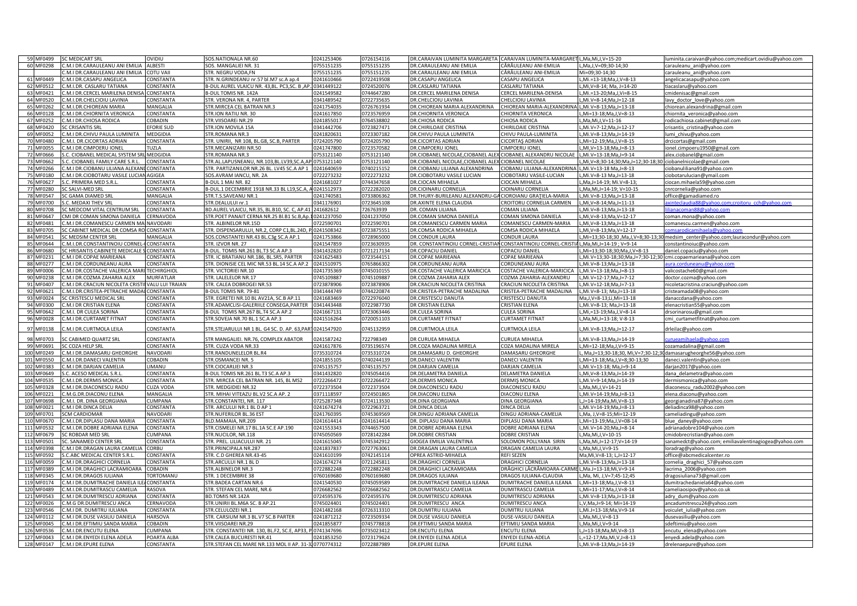| 59 MF0499                | <b>SC MEDICART SRL</b>                              | OVIDIU                   | SOS.NATIONALA NR.60                                                                | 0241253406   | 0726154116               | DR.CARAIVAN LUMINITA MARGARETA                               | CARAIVAN LUMINITA-MARGARET L, Ma, Mi, J, V=15-20     |                                                                   | luminita.caraivan@yahoo.com;medicart.ovidiu@yahoo.com                             |
|--------------------------|-----------------------------------------------------|--------------------------|------------------------------------------------------------------------------------|--------------|--------------------------|--------------------------------------------------------------|------------------------------------------------------|-------------------------------------------------------------------|-----------------------------------------------------------------------------------|
| 60 MF0298                | C.M.I DR.CARAULEANU ANI EMILIA                      | <b>ALBESTI</b>           | SOS, MANGALIEI NR. 31                                                              | 0755151235   | 0755151235               | DR.CARAULEANU ANI EMILIA                                     | CĂRĂULEANU ANI-EMILIA                                | L.Ma.J.V=09:30-14:30                                              | carauleanu ani@yahoo.com                                                          |
|                          | .M.I DR.CARAULEANU ANI EMILIA                       | <b>COTU VAI</b>          | STR. NEGRU VODA.FN                                                                 | 0755151235   | 0755151235               | DR.CARAULEANU ANI EMILIA                                     | CĂRĂULEANU ANI-EMILIA                                | Mi=09:30-14:30                                                    | carauleanu ani@yahoo.com                                                          |
| 61 MF0449                | C.M.I DR.CASAPU ANGELICA                            | CONSTANTA                | STR. N.GRINDEANU nr.57 bl.M7 sc.A ap.4                                             | 0241610466   | 0722419508               | DR.CASAPU ANGELICA                                           | CASAPU ANGELICA                                      | L,Mi.=13-18;Ma,J,V=8-13                                           | angelicacasapu@yahoo.com                                                          |
| 62 MF0512                | C.M.I.DR. CASLARU TATIANA                           | CONSTANTA                | B-DUL AUREL VLAICU NR. 43, BL. PC3, SC. B, AP. 10341449122                         |              | 0724520076               | DR.CASLARU TATIANA                                           | CASLARU TATIANA                                      | L, Mi, V=8-14; Ma, J=14-20                                        | tiacaslaru@yahoo.com                                                              |
| 63 MF0421                | C.M.I DR.CERCEL MARILENA DENISA CONSTANTA           |                          | B-DUL TOMIS NR. 142A                                                               | 0241549582   | 0744647280               | DR.CERCEL MARILENA DENISA                                    | CERCEL MARILENA-DENISA                               | L,Mi.=13-20;Ma,J,Vi=8-15                                          | cmidenisac@gmail.com                                                              |
| 64 MF0520                | C.M.I.DR.CHELCIOIU LAVINIA                          | CONSTANTA                | STR. VERONA NR. 4, PARTER                                                          | 0341489542   | 0722735635               | DR.CHELCIOIU LAVINIA                                         | CHELCIOIU LAVINIA                                    | L,Mi.V=8-14;Ma,J=12-18                                            | lavy_doctor_love@yahoo.com                                                        |
| 65 MF0262                | .M.I.DR.CHIOREAN MARIA                              | MANGALIA                 | STR. MIRCEA CEL BATRAN NR.3                                                        | 0241754035   | 0726761934               | DR.CHIOREAN MARIA ALEXANDRINA                                | CHIOREAN MARIA-ALEXANDRINA L, Mi.V=8-13; Ma, J=13-18 |                                                                   | chiorean.alexandrina@gmail.com                                                    |
| 66 MF0128                | .M.I DR.CHIORNITA VERONICA                          | CONSTANTA                | STR.ION RATIU NR. 30                                                               | 0241617850   | 0723576959               | DR.CHIORNITA VERONICA                                        | <b>HIORNITA VERONICA</b>                             | L,Mi=13-18;Ma,J,V=8-13                                            | chiornita_veronica@yahoo.com                                                      |
| 67 MF0252                | .M.I DR.CHIOSA RODICA                               | <b>COBADIN</b>           | STR.VIISOAREI NR.29                                                                | 0241855017   | 0764538802               | DR.CHIOSA RODICA                                             | <b>HIOSA RODICA</b>                                  | .Ma.Mi.J.V=11-16                                                  | rodicachiosa.cabinet@gmail.com                                                    |
| 68 MF0420                | C CRISANTIS SRL                                     | <b>FORIE SUD</b>         | STR.ION MOVILA 15A                                                                 | 0341442706   | 0723827471               | DR.CHIRILOAIE CRISTINA                                       | <b>CHIRILOAIE CRISTINA</b>                           | .,Mi.V=7-12;Ma,J=12-17                                            | crisantis cristina@yahoo.com                                                      |
| 69 MF0052                | .M.I DR.CHIVU PAULA LUMINITA                        | MEDGIDIA                 | STR.ROMANA NR.3                                                                    | 0241820631   | 0723307182               | DR.CHIVU PAULA LUMINITA                                      | CHIVU PAULA-LUMINITA                                 | L, Mi. V=8-13; Ma, J=14-19                                        | lumi_chivu@yahoo.com                                                              |
| 70 MF0480                | .M.I. DR.CICORTAS ADRIAN                            | CONSTANTA                | STR. UNIRII, NR 108, BL.G8, SC.B, PARTER                                           | 0724205790   | 0724205790               | DR.CICORTAS ADRIAN                                           | <b>ICORTAS ADRIAN</b>                                | L,Mi=12-19;Ma,J,V=8-15                                            | drcicortas@gmail.com                                                              |
| 71 MF0055                | C.M.I DR.CIMPOERU IONEL                             | TUZLA                    | STR.MECANIZARII NR.50                                                              | 0241747800   | 0723570582               | DR.CIMPOERU IONEL                                            | CIMPOERU IONEL                                       | L,MI, V=13-18; Ma, J=8-13                                         | ionel.cimpoeru1950@gmail.com                                                      |
| 72 MF0666                | S.C. CIOBANEL MEDICAL SYSTEM SRL MEDGIDIA           |                          | STR.ROMANA NR.3                                                                    | 0753121140   | 0753121140               | DR.CIOBANEL NICOLAE,CIOBANEL ALE                             | CIOBANEL ALEXANDRU NICOLAE                           | L, Mi. V=13-18; Ma, J=9-14                                        | alex.ciobanel@gmail.com                                                           |
| 73 MF0662                | S.C. CIOBANEL FAMILY CARE S.R.L.                    | CONSTANTA                | STR.AL.LAPUSNEANU. NR.103.BL.LV39.SC.A.AP 0753121140                               |              | 0753121140               | DR.CIOBANEL NICOLAE.CIOBANEL ALEX                            | CIOBANEL NICOLAE                                     | L,Mi,V=8;30-14;30;Ma,J=12;30-18;30 ciobanelnicolae@gmail.com      |                                                                                   |
| 74 MF0266                | C.M.I DR.CIOBANU LILIANA ALEXANI CONSTANTA          |                          | STR. PARTIZANILOR NR.26 BL. LV45 SC.A AP 1                                         | 0241640659   | 0740215152               | DR.CIOBANU LILIANA ALEXANDRINA                               | CIOBANU LILIANA-ALEXANDRINA                          | L.Mi.V=13-18 Ma.J=8-13                                            | ciobanuliliana91@yahoo.com                                                        |
| 75 MF0180                | .M.I DR.CIOBOTARU VASILE LUCIAN AGIGEA              |                          | SOS.AVRAM IANCU, NR. 2A                                                            | 0722273232   | 0722273232               | DR.CIOBOTARU VASILE LUCIAN                                   | CIOBOTARU VASILE-LUCIAN                              | L,Mi.V=8-13 Ma,J=13-18                                            | ciobotarulucian@ymail.com                                                         |
| 76 MF0627                | S.C. PRIMERA MED S.R.L.                             | CONSTANTA                | B-DUL 1 MAI NR. 82                                                                 | 0241681027   | 0744347658               | DR.CIOCAN MIHAELA                                            | <b>CIOCAN MIHAELA</b>                                | L, Ma, J=14-19; Mi. V=8-13                                        | ciocan.mihaela59@yahoo.com                                                        |
| 77 MF0280                | SC SALVI-MED SRL                                    | <b>CONSTANTA</b>         | B-DUL.1 DECEMBRIE 1918 NR.33 BL L19,SC.A, A0241512973                              |              | 0722282020               | DR.CIOINARU CORNELIA                                         | CIOINARU CORNELIA                                    | L,Ma,Mi,J=14-19; V=10-15                                          | cnrcornelia@yahoo.com                                                             |
| 78 MF0547                | SC GAMA DIAMED SRL                                  | MANGALIA                 | STR.T.S.SAVEANU NR.1                                                               | 0241740581   | 0733806362               | DR.THURY-BURILEANU ALEXANDRU-GA                              | CIOROIANU GRAȚIELA-MARIA                             | L, Mi.V=8-13; Ma, J=13-18                                         | office@gamadiamed.ro                                                              |
| 79 MF0700                | .C. MEDAXI THEV SRL                                 | CONSTANTA                | STR.DEALULUI nr.1                                                                  | 0341176901   | 0723645108               | DR.AXINTE ELENA CLAUDIA                                      | CROITORU CORNELIA CARMEN                             | L, Mi, V=8-14; Ma, J=11-13                                        | nteclaudia88@yahoo.com;croitoru cch@yahoo.com                                     |
| 80 MF0708                | C MEDCOM VITAL CENTRUM SRL                          | CONSTANTA                | BD.AUREL VLAICU, NR.35, BL.B10, SC. C, AP.41 241682612                             |              | 26763939                 | DR. COMAN LILIANA                                            | OMAN LILIANA                                         | L.Mi.V=8-13:Ma.J=13-18                                            | ianacoman                                                                         |
| 81 MF0647                | MI DR COMAN SIMONA DANIELA                          | CERNAVODA                | STR.POET PANAIT CERNA NR.25 Bl.B1 Sc.B,Ap.10241237050                              |              | 0241237050               | DR.COMAN SIMONA DANIELA                                      | OMAN SIMONA DANIELA                                  | L,Mi,V=8-13;Ma,V=12-17                                            | coman.mona@yahoo.com                                                              |
| 82 MF0481                | .M.I DR.COMANESCU CARMEN MA NAVODARI                |                          | STR. ALBINELOR NR.15D                                                              | 0722590701   | 0722590701               | DR.COMANESCU CARMEN MARIA                                    | COMANESCU CARMEN-MARIA                               | L, Mi, V=8-13; Ma, J=13-18                                        | comanescu.carmen@yahoo.com                                                        |
| 83 MF0705                | SC CABINET MEDICAL DR COMSA RO CONSTANTA            |                          | STR. DISPENSARULUI, NR.2, CORP C1,BL.24D, P.0241508342                             |              | 0723875551               | DR.COMSA RODICA MIHAELA                                      | COMSA RODICA MIHAELA                                 | L, Mi, V=8-13; Ma, V=12-17                                        | comsarodicamibaela@vaboo.con                                                      |
| 84 MF0541                | SC MEDSIM CENTER SRI                                | MANGALIA                 | SOS.CONSTANTEI NR.43 BL.C3g SC.A AP.1                                              | 0241753866   | 0728965000               | DR.CONDUR LAURA                                              | CONDUR LAURA                                         |                                                                   | L,Mi=13;30-18;30 ,Ma,J,V=8;30-13;30 medsim_center@yahoo.com;lauracondur@yahoo.com |
| 85 MF0644                | .M.I.DR.CONSTANTINOIU CORNEL                        | <b>CONSTANTA</b>         | STR. IZVOR NR. 27                                                                  | 0241547859   | 0723630935               | DR. CONSTANTINOIU CORNEL-CRISTIAN CONSTANTINOIU CORNEL-CRIST |                                                      | 4 L, Ma, Mi, J=14-19 ; V=9-14                                     | constantinoiuc@yahoo.com                                                          |
| 86 MF0680                | SC HRISANTIS CABINETE MEDICALE S CONSTANTA          |                          | B-DUL, TOMIS NR.261 BL.T3 SC.A AP.3                                                | 0341432820   | 0721217134               | DR.COPACIU DANIEL                                            | COPACIU DANIEL                                       | L.Mi=13:30-18:30:Ma.J.V=8-13                                      | daniel.copaciu@vahoo.com                                                          |
| 87 MF0231                | C.M.I DR.COPAE MARIEANA                             | <b>CONSTANTA</b>         | STR. IC BRATIANU NR.186, BL.SR5, PARTER                                            | 0241625483   | 0723544151               | DR.COPAE MARIEANA                                            | COPAE MARIEANA                                       | L,Mi.V=13;30-18;30;Ma,J=7;30-12;30 cmi.copaemarieana@yahoo.com    |                                                                                   |
| 88 MF0277                | .M.I DR.CORDUNEANU AURA                             | <b>CONSTANTA</b>         | STR. DIONISIE CEL MIC NR.53 BL.14 SC.A AP.2                                        | 0241510975   | 0765866302               | DR.CORDUNEANU AURA                                           | CORDUNEANU AURA                                      | L,Mi.V=8-13;Ma,J=13-18                                            |                                                                                   |
| 89 MF0006                | .M.I DR.COSTACHE VALERICA MAR                       | <b>TECHIRGHIO</b>        | STR. VICTORIEI NR.10                                                               | 0241735369   | 0745010155               | DR.COSTACHE VALERICA MARICICA                                | COSTACHE VALERICA-MARICICA                           | L, Mi. V=13-18; Ma, J=8-13                                        | valicostache60@gmail.com                                                          |
| 90 MF0238                | C.M.I DR.COZMA ZAHARIA ALEX                         | <b>MURFATLAR</b>         | STR. LALELELOR NR.17                                                               | 0745109887   | 0745109887               | DR.COZMA ZAHARIA ALEX                                        | COZMA ZAHARIA-ALEXANDRU                              | L, Mi.V=12-17; Ma, J=7-12                                         | doctor.cozma@yahoo.com                                                            |
| 91 MF0407                | C.M.I DR.CRACIUN NICOLETA CRISTII VALU LUI TRAIAN   |                          | STR. CALEA DOBROGEI NR.53                                                          | 0723878906   | 0723878906               | DR.CRACIUN NICOLETA CRISTINA                                 | CRACIUN NICOLETA CRISTINA                            | L, Mi.V=12-18; Ma, J=7-13                                         | nicoletacristina.craciun@vahoo.com                                                |
| 92 MF0621                | .M.I.DR.CRISTEA-PETRACHE MADAI CONSTANTA            |                          | B-DUL TOMIS NR, 79-81                                                              | 0341444749   | 0744220874               | DR.CRISTEA-PETRACHE MADALINA                                 | CRISTEA-PETRACHE MADALINA                            | L.Mi.V=8-13: Ma.J=13-18                                           | cristeamada08@yahoo.com                                                           |
| 93 MF0024                | C CRISTESCU MEDICAL SRL                             | CONSTANTA                | STR. EGRETEI NR.10 BL AV21A, SC.B AP.11                                            | 0241683469   | 0722976040               | DR.CRISTESCU DANUTA                                          | CRISTESCU DANUTA                                     | Ma, J, V=8-13; Li, Mi=13-18                                       | danaccdana@yahoo.com                                                              |
|                          |                                                     |                          |                                                                                    |              |                          |                                                              |                                                      |                                                                   |                                                                                   |
| 94 MF0300                | .M.I DR CRISTIAN ELENA                              | CONSTANTA                | STR.ADAMCLISI-GALERIILE CONSEGA, PARTER                                            | 0341443448   | 1722987730               | DR CRISTIAN ELENA                                            | <b>RISTIAN ELENA</b>                                 | L.Mi.V=8-13: Ma.J=13-18                                           |                                                                                   |
|                          |                                                     |                          |                                                                                    |              |                          |                                                              |                                                      |                                                                   | elenacristian55@yahoo.com                                                         |
| 95 MF0642                | .M.I. DR CULEA SORINA                               | CONSTANTA                | B-DUL TOMIS NR.267 BL.T4 SC.A AP.2                                                 | 0241667131   | 0723063446               | DR.CULEA SORINA                                              | <b>CULEA SORINA</b>                                  | .Mi,=13-19;Ma,J,V=8-14                                            | drsorinarosu@gmail.com                                                            |
| 96 MF0028                | C.M.I DR.CURTAMET FITNAT                            | CONSTANTA                | STR.SOVEJA NR.70 BL.1 SC.A AP.3                                                    | 0241516264   | 0720051103               | DR.CURTAMET FITNAT                                           | <b>CURTAMET FITNAT</b>                               | L, Ma, Mi, J=13-18; V-8-13                                        | cmi curtametfitnat@yahoo.com                                                      |
| 97 MF0138                | .M.I DR.CURTMOLA LEILA                              | CONSTANTA                | STR.STEJARULUI NR 1 BL. G4 SC. D. AP. 63, PART 0241547920                          |              | 0745132959               | DR.CURTMOLA LEILA                                            | CURTMOLA LEILA                                       | ,Mi.V=8-13;Ma,J=12-17                                             | drleilac@yahoo.com                                                                |
| 98 MF0703                | SC CABIMED QUARTZ SRL                               | CONSTANTA                | STR MANGALIEI. NR.76, COMPLEX ABATOR                                               | 0241587242   | 722798349                | DR CURUEA MIHAELA                                            | <b>CURUEA MIHAELA</b>                                | ,Mi.V=8-13;Ma,J=14-19                                             | urueamihaela@yahoo.com                                                            |
| 99 MF0691                | SC COZA HELP SRL                                    | CONSTANTA                | STR. CUZA VODA NR.33                                                               | 0241617876   | 0735196574               | DR.COZA MADALINA MIRELA                                      | COZA MADALINA MIRELA                                 | L, Mi=12-18; Ma, J, V=9-15                                        | cozamadalina@gmail.com                                                            |
| 100 MF0249               | .M.I DR.DAMASARU GHEORGHE                           | NAVODARI                 | STR.RANDUNELELOR BL.R4                                                             | 0735310724   | 0735310724               | DR.DAMASARU D. GHEORGHE                                      | DAMASARU GHEORGHE                                    | L, Ma,J=13;30-18;30, Mi,V=7;30-12;30 damasarugheorghe56@yahoo.com |                                                                                   |
| 101 MF0550               | C.M.I.DR.DANECI VALENTIN                            | COBADIN                  | STR.OSMANCEI NR. 5                                                                 | 0241855105   | 0740244139               | DR.DANECI VALENTIN                                           | DANECI VALENTIN                                      | L,Mi=13-18;Ma,J,V=8;30-13;30                                      | daneci.valentin@yahoo.com                                                         |
| MF0383<br>10             | M.I DR.DARJAN CAMELIA                               | <b>IMANU</b>             | STR.CIOCARLIEI NR.3                                                                | 0745135757   | 0745135757               | DR.DARJAN CAMELIA                                            | <b>DARJAN CAMELIA</b>                                | .,Mi.V=13-18; Ma,J=9-14                                           | darjan2017@yahoo.com                                                              |
| 103 MF0649               | .C. ACESO MEDICAL S.R.L                             | <b>CONSTANTA</b>         | B-DUL TOMIS NR.261 BL.T3 SC.A AP.3                                                 | 0341432820   | 0745054416               | DR.DELAMETRA DANIELA                                         | DELAMETRA DANIELA                                    | "Mi, V=8-13; Ma, J=14-19                                          | dana_delametra@yahoo.com                                                          |
| 104 MF0535               | .M.I.DR.DERMIS MONICA                               | <b>CONSTANTA</b>         | STR. MIRCEA CEL BATRAN NR. 145, BL MS2                                             | 0722266472   | 0722266472               | DR.DERMIS MONICA                                             | DERMIS MONICA                                        | L,Mi.V=9-14;Ma,J=14-19                                            | dermismonica@yahoo.com                                                            |
| 105 MF0328               | .M.I DR.DIACONESCU RADU                             | <b>CUZA VODA</b>         | STR. MEDGIDIEI NR.32                                                               | 0722373504   | 0722373504               | DR.DIACONESCU RADU                                           | DIACONESCU RADU                                      | L, Ma, Mi, J, V=14-21                                             | diaconescu radu2002@yahoo.com                                                     |
| 106 MF0221               | .M.G.DR.DIACONU ELENA                               | MANGALIA                 | STR. MIHAI VITEAZU BL.V2 SC.A AP. 2                                                | 0371118597   | 0724501865               | DR.DIACONU ELENA                                             | DIACONU ELENA                                        | L, Mi. V=14-19; Ma, J=8-13                                        | elena.diaconu@yahoo.com                                                           |
| 107 MF0698               | .M.I. DR. DINA GEORGIANA                            | CUMPANA                  | STR.CONSTANTEI, NR. 117                                                            | 0725287348   | 0724113530               | DR.DINA GEORGIANA                                            | DINA GEORGIANA                                       | L.J=14-19:Ma.Mi.V=8-13                                            | georgianadina87@yahoo.com                                                         |
| 108 MF0021               | .M.I DR.DINCA DELIA                                 | CONSTANTA                | STR. ARCULUI NR.1 BL D AP 1                                                        | 0241674274   | 0722963721               | DR.DINCA DELIA                                               | DINCA DELIA                                          | L.Mi.V=14-19:Ma.J=8-13                                            | deliadinca98@yahoo.com                                                            |
| 109 MF0701               | CM CARDIOMAR                                        | <b>NAVODARI</b>          | STR.NUFERILOR BL.36 EST                                                            | 0241760395   | 0745369569               | DR.DINGU ADRIANA CAMELIA                                     | DINGU ADRIANA-CAMELIA                                | L, Ma, J, V=8-15; Mi=12-19                                        | cameliadingu@yahoo.com                                                            |
| 110 MF0670               | .M.I.DR.DIPLASU DANA MARIA                          | CONSTANTA                | BLD.MAMAIA, NR.209                                                                 | 0241614414   | 0241614414               | DR. DIPLASU DANA MARIA                                       | DIPLASU DANA MARIA                                   | L,Mi=13-19;Ma,J,V=08-14                                           | blue_daney@yahoo.com                                                              |
| 111 MF0532               | C.M.I.DR.DOBRE ADRIANA ELENA                        | CONSTANTA                | STR.CISMELEI NR.17 BL.1A SC.E AP.190                                               | 0241553343   | 0744657500               | DR.DOBRE ADRIANA ELENA                                       | DOBRE ADRIANA ELENA                                  | L, Mi.V=14-20; Ma, J=8-14                                         | adrianadobre104@yahoo.com                                                         |
| 112 MF0679               | SC ROBDAR MED SRL                                   | CUMPANA                  | STR.NUCILOR, NR.118                                                                | 0745050569   | 0728142284               | DR.DOBRE CRISTIAN                                            | DOBRE CRISTIAN                                       | L, Ma, Mi, J, V=10-15                                             | cmidobrecristian@yahoo.com                                                        |
| 113 MF0501               | SC. SANAMED CENTER SRL                              | <b>CONSTANTA</b>         | STR. PREL. LILIACULUI NR. 21                                                       | 0241615045   | 0745342912               | GIOGEA EMILIA VALENTINA                                      | <b>SOLOMON POLLYANA SIRIN</b>                        | L,Ma,Mi,J=12-17;V=14-19                                           | sanamedct@yahoo.com; emiliavalentinagiogea@yahoo.com                              |
| 114 MF0398               | C.M.I DR.DRAGAN LAURA CAMELIA                       | CORBU                    | STR.PRINCIPALA NR.287                                                              | 0241837837   | 0727763061               | DR.DRAGAN LAURA CAMELIA                                      | DRAGAN CAMELIA LAURA                                 | L.Ma.Mi.J.V=9-15                                                  | loradrag@yahoo.com                                                                |
| 115 MF0592               | S.C.ABC MEDICAL CENTER S.R.L.                       | CONSTANTA                | STR. C.D GHEREA NR.43-45                                                           | 0241610199   | 0742145114               | OPREA ASTRID-MIHAELA                                         | REFI SEZEN                                           | Ma, Mi, V=8-13; L, J=12-17                                        | office@abcmedicalcenter.ro                                                        |
| 116 MF0059               | C.M.I DR.DRAGHICI CORNELIA                          | CONSTANTA                | STR.ARCULUI NR.1 BL D                                                              | 0241674274   | 0721245811               | DR.DRAGHICI CORNELIA                                         | DRAGHICI CORNELIA                                    | L,Mi.V=8-13;Ma,J=13-18                                            | cornelia_draghici_57@yahoo.com                                                    |
| 117 MF0389               | .M.I DR.DRAGHICI LACRAMIOARA                        | COBADIN                  | STR.ALBINELOR NR.3                                                                 | 0722882248   | 0722882248               | DR.DRAGHICI LACRAMIOARA                                      | DRĂGHICI LĂCRĂMIOARA-CARME L,Ma.J=13-18;Mi,V=9-14    |                                                                   | lacrima 2006@yahoo.com                                                            |
| 118 MF0345               | .M.I DR.DRAGOS IULIANA                              | <b><i>FORTOMANL</i></b>  | STR. 1 DECEMBRIE 38                                                                | 0760169680   | 0760169680               | DR.DRAGOS IULIANA                                            | DRAGOS IULIANA-CLAUDIA                               | L, Ma, Mi, J, V=7; 45-12; 45                                      | dragosiuliana73@gmail.com                                                         |
| 119 MF0174               | .M.I DR.DUMITRACHE DANIELA ILE                      | CONSTANTA                | STR.BADEA CARTAN NR.6                                                              | 0241540530   | 0745059589               | DR.DUMITRACHE DANIELA ILEANA                                 | DUMITRACHE DANIELA ILEANA                            | L, Mi=13-18; Ma, J, V=8-13                                        | dumitrachedaniela64@yahoo.com                                                     |
| 120 MF0489               | M.I.DR.DUMITRASCU CAMELIA                           | RASOVA                   | STR. STEFAN CEL MARE, NR.6                                                         | 0726682562   | 0726682562               | DR.DUMITRASCU CAMELIA                                        | <b>UMITRASCU CAMELIA</b>                             | .Mi=11-17:Ma.J.V=8-14                                             | cameliaosipov@yahoo.co.uk                                                         |
| 121 MF0543               | M.I DR.DUMITRESCU ADRIANA                           | <b>CONSTANTA</b>         | <b>BD.TOMIS NR.142A</b>                                                            | 0724595376   | 0724595376               | R.DUMITRESCU ADRIANA                                         | UMITRESCU ADRIANA                                    | ,Mi.V=8-13;Ma,J=13-18                                             | adry_dum@yahoo.com                                                                |
| 122 MF0026               | .M.G DR.DUMITRESCU ANCA                             | CERNAVODA                | STR.UNIRII BL.M6A SC. B AP.21                                                      | 0745024401   | 0745024401               | DR.DUMITRESCU ANCA                                           | <b>UMITRESCU ANCA</b>                                | V.Ma.J=9-14: Mi=14-19                                             | ancadumitrescu24@yahoo.com                                                        |
| 123 MF0546               | .M.I DR. DUMITRU IULIANA                            | CONSTANTA                | STR.CELULOZEI NR.1                                                                 | 0241482168   | 0726313310               | DR.DUMITRU IULIANA                                           | <b>OUMITRU IULIANA</b>                               | L, Mi.J=13-18; Ma, V=9-14                                         | voiculet iulia@yahoo.com                                                          |
| 124 MF0112               | .M.I DR.DUSE VASILIU DANIELA                        | HARSOVA                  | STR. CARSIUM NR.3 BL.V7 SC.B PARTER                                                | 0241871212   | 0723509334               | DR.DUSE VASILIU DANIELA                                      | DUSE-VASILIU DANIELA                                 | L, Ma, Mi, J, V=8-13                                              | dusevasiliu@yahoo.com                                                             |
| 125 MF0045               | C.M.I DR.EFTIMIU SANDA MARIA                        | COBADIN                  | STR.VIISOAREI NR.29                                                                | 0241855877   | 0745778818               | DR.EFTIMIU SANDA MARIA                                       | EFTIMIU SANDA MARIA                                  | L,Ma,Mi,J,V=9-14                                                  | sdeftimiu@yahoo.com                                                               |
| 126 MF0536               | .M.I.DR.ENCUTU ELENA                                | CUMPANA                  | STR. CONSTANTEI NR. 130, BL.F2, SC.E, AP33,                                        | P.0741347696 | 0735023412               | DR.ENCUTU ELENA                                              | ENCUTU ELENA                                         | L,J=13-18;Ma,Mi,V=8-13                                            | encutu elena@yahoo.com                                                            |
| 127 MF0043<br>128 MF0147 | C.M.I DR.ENYEDI ELENA ADELA<br>C.M.I DR.EPURE ELENA | POARTA ALB/<br>CONSTANTA | STR.CALEA BUCURESTI NR.41<br>STR.STEFAN CEL MARE NR.133 MOL II AP. 31-310770774312 | 0241853250   | 0723179624<br>0722887989 | DR.ENYEDI ELENA ADELA<br>DR.EPURE ELENA                      | ENYEDI ELENA-ADELA<br>EPURE ELENA                    | L,=12-17;Ma,Mi,V,J=8-13<br>L, Mi.V=8-13; Ma, J=14-19              | enyedi.adela@yahoo.com<br>drelenaepure@yahoo.com                                  |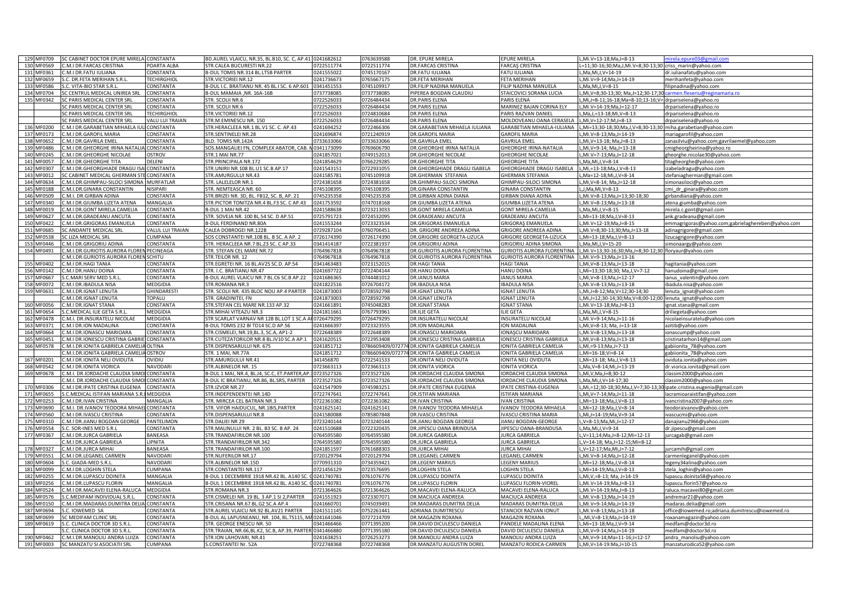| 129 MF0709               | C CABINET DOCTOR EPURE MIRELA CONSTANTA                    |                      | BD.AUREL VLAICU, NR.35, BL.B10, SC. C, AP.41 0241682612    |                          | 0763639588               | DR. EPURE MIRELA                                    | EPURE MIRELA                                 | L,Mi.V=13-18;Ma,J=8-13                                               | mirela.epure03@gmail.com                             |
|--------------------------|------------------------------------------------------------|----------------------|------------------------------------------------------------|--------------------------|--------------------------|-----------------------------------------------------|----------------------------------------------|----------------------------------------------------------------------|------------------------------------------------------|
| 130 MF0569               | M.I DR.FARCAS CRISTINA                                     | POARTA ALBA          | STR.CALEA BUCURESTI NR.22                                  | 0722511774               | 0722511774               | <b>DR.FARCAS CRISTINA</b>                           | <b>FARCAS CRISTINA</b>                       | L=11;30-16;30;Ma,J,Mi.V=8;30-13;30 criss_marin@yahoo.com             |                                                      |
| 131 MF0361               | .M.I DR.FATU IULIANA                                       | CONSTANTA            | B-DUL TOMIS NR.314 BL.LT5B PARTER                          | 0241555022               | 0745170167               | DR FATU IUI IANA                                    | <b>FATU IULIANA</b>                          | L.Ma.Mi.J.V=14-19                                                    | dr.iulianafatu@vahoo.com                             |
| 132 MF0659               | C. DR.FETA MERIHAN S.R.                                    | <b>TECHIRGHIO</b>    | STR.VICTORIEI NR.12                                        | 0241736673               | 0765667175               | DR.FETA MERIHAN                                     | FETA MERIHAN                                 | L, Mi. V=9-14; Ma, J=14-19                                           | merihanfeta@yahoo.com                                |
| 133 MF0586               | .C. VITA-BIO STAR S.R.L                                    | CONSTANTA            | B-DUL I.C. BRATIANU NR. 45 BL.I SC. 6 AP.601               | 0341451553               | 0745109917               | DR.FILIP NADINA MANUELA                             | FILIP NADINA MANUELA                         | L,Ma,Mi,J,V=8-15                                                     | filipnadina@yahoo.com                                |
| 134 MF0704               | C CENTRUL MEDICAL UNIREA SRL                               | CONSTANTA            | B-DUL MAMAIA .NR. 16A-16B                                  | 0737738085               | 0737738085               | PIPEREA BOGDAN CLAUDIU                              | STAICOVICI SORANA LUCIA                      | L,Mi,V=8;30-13;30; Ma,J=12;30-17;3                                   | armen fleseriu@reginamaria ro                        |
| 135 MF0342               | C PARIS MEDICAL CENTER SRL                                 | CONSTANTA            | STR. SCOLII NR.6                                           | 0722526033               | 0726484434               | DR.PARIS ELENA                                      | PARIS ELENA                                  | L,Mi,J=8-11;16-18;Ma=8-10;13-16;V= drpariselena@yahoo.ro             |                                                      |
|                          | C PARIS MEDICAL CENTER SRL                                 | CONSTANTA            | STR. SCOLII NR.6                                           | 0722526033               | 0726484434               | DR.PARIS ELENA                                      | MARINEZ BAJAN CORINA ELY                     | L, Mi.V=14-19; Ma, J=12-17                                           | drpariselena@yahoo.ro                                |
|                          | C PARIS MEDICAL CENTER SRL                                 | <b>TECHIRGHIOL</b>   | STR.VICTORIEI NR.12                                        | 0722526033               | 0724810684               | DR.PARIS ELENA                                      | PARIS RAZVAN DANIEI                          | L, Ma, J, = 13-18; Mi, V=8-13                                        | drpariselena@yahoo.ro                                |
|                          | C PARIS MEDICAL CENTER SRL                                 | VALU LUI TRAIAN      | STR.M.EMINESCU NR. 150                                     | 1722526033               | 726484434                | R.PARIS ELENA                                       | <b>MOLDOVEANU OANA CERASELA</b>              | L, Mi, V=12-17; M, J=8-13                                            | drpariselena@yahoo.ro                                |
| 136 MF0200               | M.I DR.GARABETIAN MIHAELA IULI                             | CONSTANTA            | STR.HERACLEEA NR.1 BL.V1 SC. C. AP.43                      | 1241694252               | 0722466306               | DR.GARABETIAN MIHAELA IULIANA                       | GARABETIAN MIHAELA-IULIANA                   | L,Mi=13;30-18;30;Ma,J,V=8;30-13;30 miha.garabetian@yahoo.com         |                                                      |
| 137 MF0173               | M.I DR.GAROFIL MARIA                                       | CONSTANTA            | STR.SENTINELEI NR.28                                       | 241696874                | 0721240919               | DR.GAROFIL MARIA                                    | <b>GAROFIL MARIA</b>                         | ,Mi.V=8-13;Ma,J=14-19                                                |                                                      |
|                          |                                                            |                      |                                                            |                          |                          |                                                     | GAVRILA EMEL                                 |                                                                      | mariagarofil@yahoo.com                               |
| 138 MF0652               | .M.I DR.GAVRILA EMEL                                       | CONSTANTA            | BLD. TOMIS NR.142A                                         | 1733633066               | 0733633066               | DR.GAVRILA EMEL                                     |                                              | "Mi, V=13-18; Ma, J=8-13                                             | zanasilviu@yahoo.com;gavrilaemel@yahoo.com           |
| 139 MF0486               | .M.I DR.GHEORGHE IRINA NATALIA CONSTANTA                   |                      | SOS. MANGALIEI FN, COMPLEX ABATOR, CAB. N0341173099        |                          | 0769606790               | DR.GHEORGHE IRINA NATALIA                           | <b>GHEORGHE IRINA-NATALIA</b>                | L, Mi, V=9-14; Ma, J=13-18                                           | cmigheorgheirina@yahoo.ro                            |
| 140 MF0245               | .M.I DR.GHEORGHE NICOLAE                                   | <b>OSTROV</b>        | STR.1 MAI NR.77                                            | 0241857021               | 0749152013               | DR.GHEORGHE NICOLAE                                 | <b>GHEORGHE NICOLAE</b>                      | L, Mi. V=7-13; Ma, J=12-18                                           | gheorghe.nicolae30@yahoo.com                         |
| 141 MF0057               | .M.I DR.GHEORGHE TITA                                      | DELENI               | STR.PRINCIPALA NR.172                                      | 0241854629               | 0766229285               | DR.GHEORGHE TITA                                    | <b>GHEORGHE TITA</b>                         | L,Ma,Mi,J,V=8-14                                                     | titagheorghe@yahoo.com                               |
| 142 MF0307               | M.I DR.GHEORGHIADE DRAGU ISA                               | <b>CONSTANTA</b>     | STR.UNIRII NR.108 BL.U1 SC.B AP.17                         | 0241543151               | 0722931055               | DR.GHEORGHIADE DRAGU ISABELA                        | GHEORGHIADE DRAGU ISABELA                    | L,Mi,=13-18;Ma,J,V=8-13                                              | izabeladragu@yahoo.com                               |
| 143 MF0012               | C CABINET MEDICAL GHERMAN STI                              | CONSTANTA            | STR.AMURGULUI NR.43                                        | 0241585781               | 0745109918               | DR.GHERMAN STEFANIA                                 | <b>GHERMAN STEFANIA</b>                      | .,Ma=12-18;Mi,J,V=8-14                                               | stefaniagherman@gmail.com                            |
| 144 MF0634               | .M.I.DR.GHIMPAU-SILOCI SIMONA MURFATLAR                    |                      | STR. LALELELOR NR.1                                        | 0724381658               | 0724381658               | DR.GHIMPAU-SILOCI SIMONA                            | GHIMPAU-SILOCI SIMONA                        | L, Mi, V=8-14; Ma, J=12-18                                           | simonasiloci@yahoo.com                               |
| 145 MF0188               | .M.I.DR.GINARA CONSTANTIN                                  | NISIPARI             | STR. NEMTEASCA NR. 60                                      | 0745108395               | 0745108395               | DR.GINARA CONSTANTIN                                | <b>GINARA CONSTANTIN</b>                     | L, J, Ma, Mi, V=8-13                                                 | cmi dr ginara@yahoo.com                              |
| 146 MF0509               | .M.I. DR.GIRBAN ADINA                                      | CONSTANTA            | STR.BRIZEI NR. 3D, BL. FB12, SC. B, AP. 21                 | 0745235358               | 0745235358               | DR.GIRBAN ADINA DIANA                               | GIRBAN DIANA ADINA                           | L,Mi.V=8-13;Ma,J=13;30-18;30                                         | girbandiana@yahoo.com                                |
| 147 MF0340               | M.I DR.GIUMBA LIZETA ATENA                                 | MANGALIA             | STR.PICTOR TONITZA NR.4 BL.F3 SC. C AP.43                  | 0241753592               | 0747018168               | DR.GIUMBA LIZETA ATENA                              | <b>GIUMBA LIZETA ATENA</b>                   | L,Mi.V=8-13;Ma,J=13-18                                               | atena.giumba@yahoo.com                               |
| 148<br>MF0019            | M.I DR.GONT MIRELA CAMELIA                                 | CONSTANTA            | B-DUL 1 MAI NR.42                                          | 0241588638               | 0723213033               | <b>DR.GONT MIRELA CAMELIA</b>                       | <b>GONT MIRELA-CAMELIA</b>                   | L,Ma,Mi,J,V=8-15                                                     | mirela.c.gont@gmail.com                              |
| 149 MF0627               | M.I.DR.GRADEANU ANCUTA                                     | CONSTANTA            | STR. SOVEJA NR. 100 BL.54 SC. D AP.51                      | 0725791723               | 0724532095               | DR.GRADEANU ANCUTA                                  | <b>GRADEANU ANCUTA</b>                       | L, Mi=13-18; Ma, J, V=8-13                                           | ank.gradeanu@gmail.com                               |
| 150 MF0422               | M.I DR.GRIGORAS EMANUELA                                   | CONSTANTA            | <b>B-DUL FERDINAND NR.80A</b>                              | 0241553244               | 0723323534               | DR.GRIGORAS EMANUELA                                | <b>GRIGORAS EMANUELA</b>                     | .,Mi.V=12-19;Ma,J=8-15                                               | emmagrigoras@yahoo.com;gabrielaghereben@yahoo.com    |
| 151 MF0685               | C ANDANTE MEDICAL SRL                                      | VALUL LUI TRAIAN     | CALEA DOBROGEI NR.122B                                     | 0729287104               | 0760706451               | DR. GRIGORE ANDREEA ADINA                           | GRIGORE ANDREEA ADINA                        | L,Mi.V=8;30-13;30;Ma,J=13-18                                         | adinagrigore@gmail.com                               |
| 152 MF0538               | C LIZA MEDICAL SRL                                         | CUMPANA              | SOS CONSTANTEI NR.108 BL. B SC. A AP. 2                    | 0726174390               | 0726174390               | DR.GRIGORE GEORGETA-LIZUCA                          | <b>GRIGORE GEORGETA-LIZUCA</b>               | L, Mi=13-18; Ma, J, V=8-13                                           | lizucagrigore@yahoo.com                              |
| 153 MF0446               | .M.I DR.GRIGORIU ADINA                                     | <b>CONSTANTA</b>     | STR. HERACLEEA NR.7 BL.Z3 SC. C AP.33                      | 0341414187               | 0722381937               | DR.GRIGORIU ADINA                                   | GRIGORIU ADINA SIMONA                        | L,Ma,Mi,J,V=15-20                                                    | simonaargy@yahoo.com                                 |
| 154 MF0491               | .M.I.DR.GURIOTIS AURORA FLOREN PECINEAGA                   |                      | STR. STEFAN CEL MARE NR.72                                 | 0764967818               | 0764967818               | DR.GURIOTIS AURORA FLORENTINA                       | <b>GURIOTIS AURORA FLORENTINA</b>            | L,Mi.V=13;30-16;30;Ma,J=8;30-12;30 floryaur@yahoo.com                |                                                      |
|                          | .M.I.DR.GURIOTIS AURORA FLOREN SCHITU                      |                      | STR.TEILOR NR. 12                                          | 0764967818               | 0764967818               | DR.GURIOTIS AURORA FLORENTINA                       | <b>GURIOTIS AURORA FLORENTINA</b>            | L.Mi.V=9-13:Ma.J=13-16                                               |                                                      |
| 155 MF0402               | M.I DR.HAGI TANIA                                          | <b>CONSTANTA</b>     |                                                            | 0341463483               | 0723152015               | DR.HAGI TANIA                                       | <b>HAGI TANIA</b>                            |                                                                      |                                                      |
|                          |                                                            |                      | STR.EGRETEI NR. 16 BL.AV25 SC.D. AP.54                     |                          |                          |                                                     |                                              | L.Mi.V=8-13:Ma.J=13-18                                               | hagitania@yahoo.com                                  |
| 156 MF0142               | M.I DR.HANU DOINA                                          | CONSTANTA            | STR. I.C. BRATIANU NR.47                                   | 0241697722               | 0722404144               | DR.HANU DOINA                                       | HANU DOINA                                   | .Mi=13;30-18;30; Ma,J,V=7-12                                         | hanudoina@gmail.com                                  |
| MF0667<br>157            | .C.MARI SERV MED S.R.L                                     | CONSTANTA            | B-DUL AUREL VLAICU NR.7 BL.C6 SC.B AP.22                   | 0241686365               | 0744481012               | DR.IANUS MARIA                                      | <b>IANUS MARIA</b>                           | L,Mi,V=8-13;Ma,J=12-17                                               | ianus_valentin@yahoo.com                             |
| 158 MF0072               | .M.I DR.IBADULA NISA                                       | MEDGIDIA             | STR.ROMANA NR.3                                            | 0241822516               | 0726704172               | DR.IBADULA NISA                                     | <b>BADULA NISA</b>                           | L,Mi.V=8-13;Ma,J=13-18                                               | ibadula.nisa@yahoo.com                               |
| 159 MF0631               | .M.I.DR.IGNAT LENUTA                                       | <b>GHINDARESTI</b>   | STR. SCOLII NR. 435 BLOC NOU AP.4 PARTER                   | 0241873003               | 728592798                | DR.IGNAT LENUTA                                     | <b>GNAT LENUTA</b>                           | .Mi.J=8-12:Ma.V=12:30-14:30                                          | lenuta_ignat@yahoo.com                               |
|                          | M.I.DR.IGNAT LENUTA                                        | TOPALU               | STR. GRADINITFI. FN                                        | 241873003                | 728592798                | <b>DR.IGNAT LENUTA</b>                              | <b>GNAT LENUTA</b>                           | L,Mi,J=12;30-14;30;Ma,V=8;00-12;00 lenuta_ignat@yahoo.com            |                                                      |
| 160 MF0056               | M.I DR.IGNAT STANA                                         | CONSTANTA            | STR.STEFAN CEL MARE NR.133 AP.32                           | 0241661891               | 0745048283               | DR.IGNAT STANA                                      | <b>GNAT STANA</b>                            | L.Mi.V=13-18:Ma.J=8-13                                               | ignat.stana@gmail.com                                |
| 161 MF0654               | C.MEDICAL ILIE GETA S.R.I                                  | <b>MEDGIDIA</b>      | STR.MIHAI VITEAZU NR.3                                     | 0241811661               | 0767793961               | DR.ILIE GETA                                        | LIE GETA                                     | .Ma.Mi.J.V=8-15                                                      | driliegeta@yahoo.com                                 |
| 162 MF0478               | .M.I. DR.INSURATELU NICOLAE                                | MEDGIDIA             | STR SCARLAT VARNAV NR 12B BL.LOT 1 SC.A AF0726479295       |                          | 0726479295               | DR.INSURATELU NICOLAE                               | NSURATELU NICOLAE                            | L,Mi.V=9-14;Ma,J=11-16                                               | nicolaeinsuratelu@yahoo.com                          |
|                          |                                                            |                      |                                                            |                          |                          |                                                     |                                              |                                                                      |                                                      |
| 163 MF0371               | .M.I DR.ION MADALINA                                       | CONSTANTA            | B-DUL TOMIS 232 BI TD14 SC.D AP.56                         | 0241666397               | 0723323555               | <b>DR.ION MADALINA</b>                              | ON MADALINA                                  | L, Mi, V=8-13; Ma, J=13-18                                           | azitib@yahoo.com                                     |
| 164 MF0664               | .M.I DR.IONASCU MARIOARA                                   | CONSTANTA            | STR.CISMELEI, NR.19,BL.3, SC.A, AP1-2                      | 0722648389               | 0722648389               | DR.IONASCU MARIOARA                                 | ONASCU MARIOARA                              | L,Mi.V=8-13;Ma,J=13-18                                               | ionascump@yahoo.com                                  |
| 165 MF0451               | .M.I DR.IONESCU CRISTINA GABRIE CONSTANTA                  |                      | STR.CUTEZATORILOR NR.8 BL.IV10 SC.A AP.1                   | 0241620515               | 0722953408               | DR.IONESCU CRISTINA GABRIELA                        | ONESCU CRISTINA GABRIELA                     | L, Mi, V=8-13; Ma, J=13-18                                           | cristinatarhon14@gmail.com                           |
| 166 MF0578               | M.I.DR.IONITA GABRIELA CAMELIA OLTINA                      |                      | STR.DISPENSARULUI NR. 675                                  | 0241851712               |                          | 0786609409/072774 DR.IONITA GABRIELA CAMELIA        | <b>IONITA GABRIELA CAMELIA</b>               | L.Mi.=9-13:Ma.J=7-13                                                 |                                                      |
|                          |                                                            |                      |                                                            |                          |                          |                                                     |                                              |                                                                      | gabiionita_78@yahoo.com                              |
|                          | M.I.DR.IONITA GABRIELA CAMELIA                             | <b>OSTROV</b>        | STR. 1 MAI. NR.77A                                         | 241851712                |                          | 0786609409/072774 DR.IONITA GABRIELA CAMELIA        | ONITA GABRIELA CAMELIA                       | L.Mi=16-18:Vi=8-14                                                   | gabiionita 78@yahoo.com                              |
| 167 MF0201               | M.I DR.IONITA NELI OVIDUTA                                 | OVIDIU               | STR.AMURGULUI NR.41                                        | 341456870                | 0722541533               | DR.IONITA NELI OVIDUTA                              | ONITA NELI OVIDUTA                           | ,Mi=13-18; Ma,J,V=8-13                                               | oviduta.ionita@yahoo.com                             |
| 168 MF0542               | .M.I DR.IONITA VIORICA                                     | NAVODARI             | STR.ALBINELOR NR. 15                                       | 0723663113               | 0723663113               | <b>DR.IONITA VIORICA</b>                            | <b>ONITA VIORICA</b>                         | L, Ma, V=8-14; Mi, J=13-19                                           | dr.viorica.ionita@gmail.com                          |
| 169 MF0678               | .M.I. DR.IORDACHE CLAUDIA SIMOI                            | <b>CONSTANTA</b>     | B-DUL 1 MAI, NR.4, BL.J4, SC.C, ET.PARTER, AP. 30723527326 |                          | 0723527326               | DR.IORDACHE CLAUDIA SIMONA                          | IORDACHE CLAUDIA SIMONA                      | L,Mi,V,Ma,J=8;30-12                                                  | classim2000@yahoo.com                                |
|                          | M.I. DR.IORDACHE CLAUDIA SIMOI                             | CONSTANTA            | B-DUL IC BRATIANU, NR.86, BL.SR5, PARTER                   | 0723527326               | 0723527326               | DR.IORDACHE CLAUDIA SIMONA                          | ORDACHE CLAUDIA SIMONA                       | L,Ma,Mi,J,V=14-17;30                                                 | classim2000@yahoo.com                                |
| 170 MF0306               | M.I DR.IPATE CRISTINA EUGENIA                              | CONSTANTA            | STR.IZVOR NR.27                                            | 0241547909               | 0745983251               | DR.IPATE CRISTINA EUGENIA                           | PATE CRISTINA-EUGENIA                        | L,Mi,=12;30-18;30;Ma,J,V=7;30-13;30 ipate.cristina.eugenia@gmail.com |                                                      |
| 171 MF0655               | C.MEDICAL ISTIFAN MARIANA S.R.I MEDGIDIA                   |                      | STR.INDEPENDENTEI NR.14D                                   | 0722747641               | 0722747641               | DR.ISTIFAN MARIANA                                  | <b>STIFAN MARIANA</b>                        | L, Mi, V=7-14; Ma, J=11-18                                           | lacramioaraistifan@yahoo.com                         |
| 172 MF0253               | M.I DR.IVAN CRISTINA                                       | MANGALIA             | STR. MIRCEA CEL BATRAN NR.3                                | 0722361082               | 0722361082               | DR.IVAN CRISTINA                                    | VAN CRISTINA                                 | L.Mi=13-18;Ma,J,V=8-13                                               | ivancristina2007@yahoo.com                           |
| 173 MF0690               | M.I. DR.IVANOV TEODORA MIHAEL CONSTANTA                    |                      | STR. VIFOR HAIDUCUL, NR.1BIS, PARTER                       | 0241625141               | 0241625141               | DR.IVANOV TEODORA MIHAELA                           | VANOV TEODORA MIHAELA                        | L, Mi=12-18; Ma, J, V=8-14                                           | teodoraivanov@yahoo.com                              |
| 174 MF0560               | .M.I DR.IVASCU CRISTINA                                    | CONSTANTA            | STR.DISPENSARULUI NR.8                                     | 0241580088               | 0785807848               | DR.IVASCU CRISTINA                                  | VASCU CRISTINA MARIA                         | L, Mi, J=14-19; Ma, V=9-14                                           | ivascucmi@yahoo.com                                  |
| 175 MF0310               | .M.I DR.JIANU BOGDAN GEORGE                                | PANTELIMON           | STR.DALIEI NR 29                                           | 0723240144               | 0723240144               | DR.JIANU BOGDAN GEORGI                              | <b>IIANU BOGDAN-GEORGE</b>                   | L,V=8-13;Ma,Mi,J=12-17                                               | danajianu2966@yahoo.com                              |
| 176 MF0554               | .C. SOR-INES MED S.R.L                                     | CONSTANTA            | STR.MALINULUI NR. 2 BL. B3 SC. B AP. 24                    | 0241510688               | 0722320435               | DR.JIPESCU OANA BRINDUSA                            | <b>IIPESCU OANA-BRANDUSA</b>                 | L,Ma,Mi,J,V=9-14                                                     | dr.jipescu@gmail.com                                 |
| 177 MF0367               | M.I DR.JURCA GABRIELA                                      | <b>BANEASA</b>       | STR.TRANDAFIRILOR NR.100                                   | 0764595580               | 0764595580               | <b>DR.JURCA GABRIELA</b>                            | <b>URCA GABRIELA</b>                         | L.V=11:14:Ma.J=8-12:Mi=12-13                                         | iurcagab@gmail.com                                   |
|                          | M.I DR.JURCA GABRIELA                                      | LIPNITA              | STR.TRANDAFIRILOR NR.342                                   | 0764595580               | 0764595580               | <b>DR.JURCA GABRIELA</b>                            | URCA GABRIELA                                | L,V=14-18; Ma,J=12-15;Mi=8-12                                        |                                                      |
| 178<br>MF0327            | .M.I DR.JURCA MIHAI                                        | BANEASA              | STR.TRANDAFIRILOR NR.100                                   | 0241851597               | 0761688303               | DR.JURCA MIHAI                                      | <b>URCA MIHAI</b>                            | .,V=12-17;Ma,Mi,J=7-12                                               | jurcamih@gmail.com                                   |
| 179 MF0551               | .M.I DR.LEGANEL CARMEN                                     | NAVODARI             | STR.NUFERILOR NR.17                                        | 0720129794               | 0720129794               | DR.LEGANEL CARMEN                                   | LEGANEL CARMEN                               | L, Mi. V=8-14; Ma, J=12-18                                           | carmenleganel@yahoo.com                              |
| 180 MF0604               | C. GIADA-MED S.R.L                                         | <b>NAVODARI</b>      | STR.ALBINELOR NR.15D                                       | 0770931310               | 0734359421               | DR.LEGENY MARIUS                                    | <b>LEGENY MARIUS</b>                         | L, Mi=12-18; Ma, J, V=8-14                                           | legeny34alina@yahoo.com                              |
| 181 MF0099               | .M.I DR.LOGHIN STELA                                       | CUMPANA              | STR.CONSTANTELNR.117                                       | 0721456129               | 0723576695               | DR.LOGHIN STELA                                     | OGHIN STELA                                  | .,Mi=14-19;Ma,J,V=8-13                                               | stela_loghin@yahoo.com                               |
| 182 MF0255               | M.I DR.I UPASCU DOINITA                                    | MANGALIA             | B-DUL 1 DECEMBRIE 1918 NR.42 BL. A140 SC.                  | C0241740781              | 1761076776               | DR.LUPASCU DOINITA                                  | <b>UPASCU DOINITA</b>                        | L,Mi,V,=8-13; Ma, J=14-19                                            | upascu.doinita58@yahoo.ro                            |
| 183 MF0256               | M.I DR.LUPASCU FLORIN                                      | MANGALIA             | B-DUL 1 DECEMBRIE 1918 NR.42 BL. A140 SC. G                | 0241740781               | 761076776                | R.LUPASCU FLORIN                                    | <b>UPASCU FLORIN-VIOREL</b>                  | L.Mi.V=14-19:Ma.J=8-13                                               | lupascu.florin57@yahoo.ro                            |
| 184 MF0524               | M.I DR.MACAVEI ELENA-RALUCA                                | MEDGIDIA             | STR.ROMANA NR.3                                            | 1721364626               | 0721364626               | DR.MACAVEI ELENA-RALUCA                             | MACAVEI ELENA-RALUCA                         | L, Mi. V=14-19; Ma, J=8-13                                           |                                                      |
| 185 MF0576               | C.MEDIFAM INDIVIDUAL S.R.L.                                | CONSTANTA            | STR.CISMELEI NR. 19 BL. 3 AP.1 SI 2, PARTER                | 0241551923               | 0723307071               | DR.MACIUCA ANDREEA                                  | MACIUCA ANDREEA                              | L, Mi. V=8-13; Ma, J=14-19                                           | raluca.macavei80@gmail.com                           |
|                          |                                                            |                      |                                                            |                          |                          |                                                     |                                              |                                                                      | andremar21@yahoo.com                                 |
| 186 MF0150               | .M.I DR.MADARAS DUMITRA DELIA CONSTANTA                    |                      | STR.CRISANA NR.67 BL.G2 SC.A AP.4                          | 0241660701               | 0745039491               | DR.MADARAS DUMITRA DELIA                            | MADARAS DUMITRA-DELIA                        | L, Mi.V=9-14; Ma, J=14-19                                            | madaras.delia@gmail.com                              |
| 187 MF0694               | C. IOWEMED SA                                              | CONSTANTA            | STR.AUREL VLAICU NR.92 BL.AV21 PARTER                      | 0241511145               | 0752261441               | ADRIANA DUMITRESCU                                  | STANCIOI RAZVAN IONUT                        | L,Mi.V=8-13;Ma,J=13-18                                               | office@iowemed.ro;adriana.dumitrescu@iowemed.ro      |
| 188 MF0699               | C MEDIFAM CLINIC SRL                                       | CONSTANTA            | B-DUL AL LAPUSNEANU, NR. 104, BL.TS115, MA0241641046       |                          | 0727214709               | DR.MAGAZIN ROXANA                                   | <b>MAGAZIN ROXANA</b>                        | L,,Mi,V=8-13;Ma,J=14-19                                              | roxanamagazin@yahoo.com                              |
| 189 MF0619               | .C. CLINICA DOCTOR 3D S.R.L                                | CONSTANTA            | STR. GEORGE ENESCU NR. 50                                  | 0341466466               | 0771395200               | DR.DAVID DICULESCU DANIELA                          | PANDELE MADALINA ELENA                       | L.Mi=13-18:Ma.J.V=9-14                                               | medfam@doctor3d.ro                                   |
|                          | .C. CLINICA DOCTOR 3D S.R.L                                | CONSTANTA            | STR.TRAIAN, NR.66, BL.K2, SC.B, AP.39, PARTER              | 0341466880               | 0771395180               | DR.DAVID DICULESCU DANIELA                          | AVID DICULESCU DANIELA                       | L,Mi,V=9-14;Ma,J=14-19                                               | medfam@doctor3d.ro                                   |
| 190 MF0462<br>191 MF0003 | M.I.DR. MANOLIU ANDRA LUIZA<br>SC MANZATU SI ASOCIATII SRL | CONSTANTA<br>CUMPANA | STR.ION LAHOVARI, NR.41<br>S.CONSTANTEI Nr. 52A            | 0241638251<br>0722748368 | 0726253273<br>0722748368 | DR.MANOLIU ANDRA LUIZA<br>DR.MANZATU AUGUSTIN DOREL | MANOLIU ANDRA LUIZA<br>MANZATU RODICA-CARMEN | L,Mi,V=9-14;Ma=11-16;J=12-17<br>L,Mi, V=14-19:Ma, J=10-15            | andra_manoliu@yahoo.com<br>manzaturodica52@yahoo.com |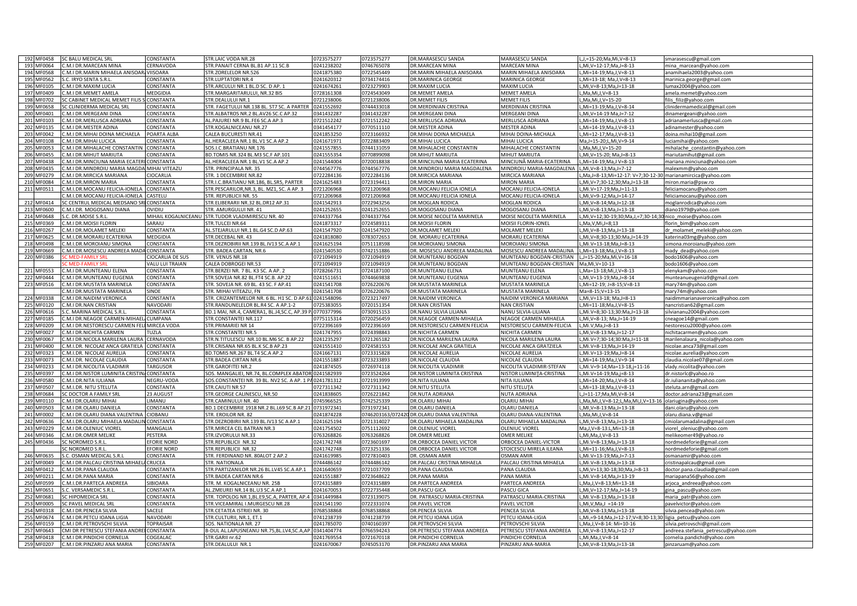| 192 MF0458               | <b>SC BALU MEDICAL SRL</b>                              | CONSTANTA               | STR.LAIC VODA NR.28                                    | 0723575277               | 0723575277               | DR.MARASESCU SANDA                                  | MARASESCU SANDA                        | L,J,=15-20;Ma,Mi,V=8-13                                    | smarasescu@gmail.com                               |
|--------------------------|---------------------------------------------------------|-------------------------|--------------------------------------------------------|--------------------------|--------------------------|-----------------------------------------------------|----------------------------------------|------------------------------------------------------------|----------------------------------------------------|
| 193 MF0064               | C.M.I DR.MARCEAN MINA                                   | <b>CERNAVODA</b>        | STR.PANAIT CERNA BL.B1 AP.11 SC.B                      | 0241238202               | 0746765078               | <b>DR.MARCEAN MINA</b>                              | <b>MARCEAN MINA</b>                    | L.Mi.V=12-17:Ma.J=8-13                                     | mina marcean@yahoo.com                             |
| 194 MF0568               | C.M.I DR.MARIN MIHAELA ANISOAR, VIISOARA                |                         | STR.ZORELELOR NR.526                                   | 0241875380               | 0722545449               | <b>DR.MARIN MIHAELA ANISOARA</b>                    | MARIN MIHAELA ANISOARA                 | L.Mi=14-19:Ma.J.V=8-13                                     | anamihaela2003@yahoo.com                           |
| 195 MF0562               | S.C. IRYO SENTA S.R.L                                   | CONSTANTA               | <b>STR.LUPTATORI NR.4</b>                              | 0241620312               | 0734174416               | <b>DR.MARINICA GEORGE</b>                           | MARINICA GEORGE                        | L, Mi=13-18; Ma, J, V=8-13                                 | marinica.george@gmail.com                          |
| 196 MF0105               | C.M.I DR.MAXIM LUCIA                                    | CONSTANTA               | STR.ARCULUI NR.1 BL.D SC. D AP. 1                      | 0241674261               | 0723279903               | DR.MAXIM LUCIA                                      | MAXIM LUCIA                            | L,Mi, V=8-13; Ma, J=13-18                                  | lumax2004@yahoo.com                                |
| 197 MF0409               | C.M.I DR.MEMET AMELA                                    | MEDGIDIA                | STR.MARGARITARULUI, NR.32 BIS                          | 0728161308               | 0724543049               | DR.MEMET AMELA                                      | <b>MEMET AMELA</b>                     | L, Ma, Mi, J, V=8-13                                       | amela.memet@yahoo.com                              |
| 198 MF0702               | SC CABINET MEDICAL MEMET FILIS                          | <b>CONSTANTA</b>        | STR.DEALULUI NR.1                                      | 0721238006               | 0721238006               | DR.MEMET FILIS                                      | <b>MEMET FILIS</b>                     | L, Ma, Mi, J, V=15-20                                      | filis filiz@yahoo.com                              |
| 199 MF0658               | C CLINIDERMA MEDICAL SR                                 | CONSTANTA               | STR. FAGETULUI NR.138 BL. ST7 SC. A PARTER             | 0241552692               | 0744433018               | R.MERDINIAN CRISTINA                                | MERDINIAN CRISTINA                     | .Mi=13-19:Ma.J.V=8-14                                      | linidermamedical@gmail.com                         |
|                          |                                                         |                         |                                                        |                          |                          |                                                     |                                        |                                                            |                                                    |
| 200 MF0401               | .M.I DR.MERGEANI DINA                                   | CONSTANTA               | STR.ALBATROS NR.2 BL.AV26 SC.C AP.32                   | 341432287                | 0341432287               | R.MERGEANI DINA                                     | <b>MERGEANI DINA</b>                   | .,Mi,V=14-19 Ma,J=7-12                                     | dinamergeani@yahoo.com                             |
| 201 MF0103               | .M.I DR.MERLUSCA ADRIANA                                | CONSTANTA               | AL.PAJUREI NR.9 BL.FE6 SC.A AP.3                       | 0721512242               | 0721512242               | R.MERLUSCA ADRIANA                                  | MERLUSCA ADRIANA                       | "Mi=14-19;Ma,J,V=8-13                                      | adrianamerlusca@gmail.com                          |
| 202 MF0135               | .M.I DR.MESTER ADINA                                    | CONSTANTA               | STR.KOGALNICEANU NR.27                                 | 0341454177               | 0770511110               | <b>R.MESTER ADINA</b>                               | <b>MESTER ADINA</b>                    | .Mi=14-19;Ma,J,V=8-13                                      | adinamester@yahoo.com                              |
| 203 MF0042               | .M.I DR.MIHAI DOINA MICHAELA                            | POARTA ALBA             | CALEA BUCURESTI NR.41                                  | 0241853250               | 0723166932               | R.MIHAI DOINA MICHAELA                              | MIHAI DOINA-MICHALA                    | "Mi=12-17;Ma,J,V=8-13                                      | doina.mihai10@gmail.com                            |
| 204 MF0108               | .M.I DR.MIHAI LUCICA                                    | CONSTANTA               | AL.HERACLEEA NR.1 BL.V1 SC.A AP.2                      | 0241671971               | 0722883409               | <b>DR.MIHAI LUCICA</b>                              | MIHAI LUCICA                           | Ma,J=15-20;L,Mi,V=9-14                                     | luciamihai@yahoo.com                               |
| 205 MF0053               | .M.I DR.MIHALACHE CONSTANTIN CONSTANTA                  |                         | SOS.I.C.BRATIANU NR.176                                | 0241557855               | 0744131059               | OR. MIHALACHE CONSTANTIN                            | MIHALACHE CONSTANTIN                   | L,Ma,Mi,J,V=15-20                                          | mihalache constantin@yahoo.com                     |
| 206 MF0455               | .M.I DR.MIHUT MARIUTA                                   | CONSTANTA               | BD.TOMIS NR.324 BL.M3 SC.F AP.101                      | 0241555354               | 0770899098               | DR.MIHUT MARIUTA                                    | MIHUT MARIUTA                          | L,Mi, V=15-20; Ma, J=8-13                                  | mariutamihut@gmail.com                             |
| 207 MF0438               | .M.I DR.MINCIUNA MARIA ECATERI CONSTANTA                |                         | AL.HERACLEEA NR.1 BL.V1 SC.A AP.2                      | 0241544004               | 0720018838               | DR.MINCIUNA MARIA ECATERINA                         | MINCIUNĂ MARIA-ECATERINA               | L.Mi=14-19:Ma.J V=8-13                                     | mariana.minciuna@yahoo.com                         |
| 208 MF0435               | .<br>M.I DR.MINDROIU MARIA MAGDA MIHAI VITEAZU          |                         | STR. PRINCIPALA NR. 35                                 | 0744567776               | 0744567776               | OR.MINDROIU MARIA MAGDALENA                         | MINDROIU MARIA-MAGDALENA               | L.Mi.V=8-13:Ma.J=7-12                                      | malexmm@yahoo.com                                  |
| 209 MF0279               | .M.I DR.MIRCICA MARIANA                                 | CIOCARLIA               | STR. 1 DECEMBRIE NR.82                                 | 0722284136               | 0722284136               | DR.MIRCICA MARIANA                                  | MIRCICA MARIANA                        | "Ma,J=8-13;Mi=12-17: V=7;30-12-30 marianamircica@yahoo.com |                                                    |
| 210 MF0084               | C.M.I DR.MIRON MARIA                                    | CONSTANTA               | STR.I.C.BRATIANU NR.186, BL.SR5, PARTER                | 0241625483               | 0723194411               | <b>DR.MIRON MARIA</b>                               | <b>MIRON MARIA</b>                     | L,Mi, V=7;30-12;30;Ma, J=13-18                             | miron.maria@psw.ro                                 |
| 211 MF0511               | .M.I.DR.MOCANU FELICIA-IONELA                           | CONSTANTA               | STR.PESCARILOR, NR.3, BL. MZ1, SC. A AP. 3             | 0721206968               | 0721206968               | DR.MOCANU FELICIA IONELA                            | MOCANU FELICIA-IONELA                  | L, Mi. V=17-19; Ma, J=11-13                                | feliciamocanu@yahoo.com                            |
|                          | .M.I.DR.MOCANU FELICIA-IONELA                           | CASTELU                 | STR. REPUBLICII NR. 55                                 | 0721206968               | 0721206968               | DR.MOCANU FELICIA IONELA                            | MOCANU FELICIA-IONELA                  | L,Mi, V=9-12; Ma, J=14-17                                  |                                                    |
|                          |                                                         | CONSTANTA               |                                                        |                          |                          | <b>DR.MOGLAN RODICA</b>                             | MOGLAN RODICA                          |                                                            | feliciamocanu@yahoo.com                            |
| 212 MF0414               | C CENTRUL MEDICAL MEDSANO SR                            |                         | STR.ELIBERARII NR.32 BL.DR12 AP.31                     | 0241542913               | 0722943256               |                                                     |                                        | L,Mi, V=8-14; Ma, J=12-18                                  | moglanrodica@yahoo.com                             |
| 213 MF0600               | .M.I.DR. MOGOSANU DIANA                                 | <b>OVIDIU</b>           | STR. AMURGULUI NR. 41                                  | 0241252655               | 0241252655               | R.MOGOSANU DIANA                                    | MOGOSANU DIANA                         | L.Mi.V=8-13:Ma.J=13-18                                     | diano1979@yahoo.com                                |
| 214 MF0648               | .C. DR.MOISE S.R.L                                      |                         | MIHAIL KOGALNICEANU STR.TUDOR VLADIMIRESCU NR. 40      | 0744337764               | 0744337764               | R.MOISE NICOLETA MARINELA                           | MOISE NICOLETA MARINELA                | L,Mi,V=12;30-19;30;Ma,J,=7;30-14;30 nico_moise@yahoo.com   |                                                    |
| 215 MF0369               | .M.I DR.MOISII FLORIN                                   | SARAIU                  | STR.TULCEI NR.64                                       | 0241873317               | 0724589311               | <b>DR.MOISII FLORIN</b>                             | MOISII FLORIN-IONEL                    | L,Ma,V,Mi,J=8;13                                           | florin_bim@yahoo.com                               |
| 216 MF0267               | .M.I DR.MOLAMET MELEKI                                  | CONSTANTA               | AL.STEJARULUI NR.1 BL.G4 SC.D AP.63                    | 0241547920               | 0241547920               | <b>DR.MOLAMET MELEKI</b>                            | <b>MOLAMET MELEKI</b>                  | L, Mi, V=8-13; Ma, J=13-18                                 | dr_molamet_meleki@yahoo.com                        |
| 217 MF0625               | .M.I.DR.MORARU ECATERINA                                | <b>MEDGIDIA</b>         | STR.DECEBAL NR. 43                                     | 0241818080               | 0783072653               | DR. MORARU ECATERINA                                | MORARU ECATERINA                       | L,Mi, V=8;30-13;30:Ma, J=14-19                             | katerina03mg@yahoo.com                             |
| 218 MF0498               | .M.I.DR.MOROIANU SIMONA                                 | <b>CONSTANT/</b>        | STR.DEZROBIRII NR.139 BL.IV13 SC.A AP.1                | 0241625194               | 0751118598               | DR.MOROIANU SIMONA                                  | MOROIANU SIMONA                        | L.Mi.V=13-18:Ma.J=8-13                                     | simona.moroianu@yahoo.com                          |
| 219 MF0669               | C.M.I.DR.MOSESCU ANDREEA MADA CONSTANTA                 |                         | STR. BADEA CARTAN, NR.6                                | 0241540530               | 0742151886               | DR. MOSESCU ANDREEA MADALINA                        | MOSESCU ANDREEA MADALINA               | L.Mi=13-18:Ma.J.V=8-13                                     | mady_dea@yahoo.com                                 |
| 220 MF0386               | <b>CMED-FAMILYS</b>                                     | <b>CIOCARLIA DE SUS</b> | STR. VENUS NR.18                                       | 0721094919               | 0721094919               | <b>DR.MUNTEANU BOGDAN</b>                           | MUNTEANU BOGDAN-CRISTIAN               | L.J=15-20:Ma.Mi.V=16-18                                    | bodo1606@yahoo.com                                 |
|                          |                                                         | <b>VALU LUI TRAIAN</b>  | CALEA DOBROGEI NR.53                                   | 0721094919               | 0721094919               | <b>DR.MUNTEANU BOGDAN</b>                           | MUNTEANU BOGDAN-CRISTIAN               | Ma.Mi.V=10-13                                              | bodo1606@yahoo.com                                 |
| 221 MF0553               | .M.I DR.MUNTEANU ELENA                                  | <b>CONSTANTA</b>        | STR.BERZEI NR. 7 BL. K3 SC. A AP. 2                    | 0728266731               | 0724187100               | OR.MUNTEANU ELENA                                   | MUNTEANU ELENA                         | L, Ma=13-18; Mi, J, V=8-13                                 |                                                    |
| 222 MF0444               |                                                         | <b>CONSTANTA</b>        | STR.SOVEJA NR.82 BL.FT4 SC.B. AP.22                    |                          | 0744669838               |                                                     |                                        |                                                            | elenykam@yahoo.com                                 |
|                          | C.M.I DR.MUNTEANU EUGENIA                               |                         |                                                        | 0241511651               |                          | DR.MUNTEANU EUGENIA                                 | MUNTEANU EUGENIA                       | L, Mi, V=13-19; Ma, J=8-14                                 | munteanueugenia9@gmail.com                         |
| 223 MF0516               | C.M.I DR.MUSTATA MARINELA                               | CONSTANTA               | STR. SOVEJA NR. 69 BL. 43 SC. F AP.41                  | 0241541708               | 0726220676               | DR.MUSTATA MARINELA                                 | MUSTATA MARINELA                       | L, Mi=12-19; J=8-15; V=8-13                                | mary74m@yahoo.com                                  |
|                          | .M.I DR.MUSTATA MARINELA                                | SINOE                   | STR. MIHAI VITEAZU. FN                                 | 0241541708               | 0726220676               | <b>DR.MUSTATA MARINELA</b>                          | <b>MUSTATA MARINELA</b>                | Ma=8-15:V=13-15                                            | mary74m@yahoo.com                                  |
| 224 MF0338               | .M.I DR.NAIDIM VERONICA                                 | CONSTANTA               | STR. CRIZANTEMELOR NR. 6 BL. H1 SC. D AP.61 0241548096 |                          | 0723217497               | R.NAIDIM VERONICA                                   | NAIDIM VERONICA MARIANA                | L, Mi, V=13-18; Ma, J=8-13                                 | naidimmarianaveronica@yahoo.com                    |
|                          |                                                         |                         |                                                        |                          |                          |                                                     |                                        |                                                            |                                                    |
| 225 MF0120               | .M.I DR.NAN CRISTIAN                                    | NAVODARI                | TR.RANDUNELELOR BL.R4 SC. A AP.1-2                     | 725383055                | 0720151354               | <b>DR.NAN CRISTIAN</b>                              | <b>JAN CRISTIAN</b>                    | .Mi=11-18:Ma.J.V=8-15                                      | nancristian62@gmail.com                            |
| 226 MF0616               | .C. MARINA MEDICAL S.R.L                                | CONSTANTA               | BD.1 MAI, NR.4, CAMERA1, BL.J4,SC.C, AP.39 P.          | 0770377996               | 0730915153               | <b>DR.NANU SILVIA LILIANA</b>                       | NANU SILVIA-LILIANA                    | ,Mi.V=8;30-13;30:Ma,J=13-18                                | silviananu2004@yahoo.com                           |
| 227 MF0185               | .M.I DR.NEAGOE CARMEN-MIHAEL CUMPANA                    |                         | STR.CONSTANTEI NR.117                                  | 0775115314               | 0720256459               | DR.NEAGOE CARMEN-MIHAELA                            | NEAGOE CARMEN MIHAELA                  | L, Mi, V=8-13; Ma, J=14-19                                 | cneagoe14@gmail.com                                |
|                          |                                                         |                         |                                                        |                          |                          |                                                     |                                        |                                                            |                                                    |
| 228 MF0209               | .M.I DR.NESTORESCU CARMEN FELI MIRCEA VODA              |                         | STR. PRIMARIEI NR 14                                   | 0722396169               | 0722396169               | DR.NESTORESCU CARMEN FELICIA                        | NESTORESCU CARMEN-FELICIA              | L,Mi.V,Ma,J=8-13                                           | nestorescu2000@yahoo.com                           |
| 229 MF0027               | .M.I DR.NICHITA CARMEN                                  | TUZLA                   | STR.CONSTANTEI NR.5                                    | 0241747955               | 0724398843               | DR.NICHITA CARMEN                                   | NICHITA CARMEN                         | L, Mi, V=8-13: Ma, J=12-17                                 | nichitacarmen@yahoo.com                            |
| 230 MF0067               | .M.I DR.NICOLA MARILENA LAURA CERNAVODA                 |                         | STR.N.TITULESCU NR.10 BL.M6 SC. B AP.22                | 0241235297               | 0721265182               | DR.NICOLA MARILENA LAURA                            | NICOLA MARILENA LAURA                  | L,Mi.V=7;30-14;30:Ma,J=11-18                               | marilenalaura nicola@yahoo.com                     |
| 231 MF0400               | C.M.I.DR. NICOLAE ANCA GRATIELA CONSTANTA               |                         | STR.CRISANA NR.65 BL.K SC.B AP.23                      | 0241551410               | 0724581553               | DR.NICOLAE ANCA GRATIELA                            | NICOLAE ANCA GRATZIELA                 | L.Mi.V=8-13:Ma.J=14-19                                     | nicolae.anca73@gmail.com                           |
| 232 MF0323               | .M.I.DR. NICOLAE AURELIA                                | <b>CONSTANTA</b>        | BD.TOMIS NR.267 BL.T4 SC.A AP.2                        | 0241667131               | 0723315828               | OR.NICOLAE AURELIA                                  | NICOLAE AURELIA                        | "Mi.V=13-19;Ma,J=8-14                                      | nicolae.aurelia@yahoo.com                          |
| 233 MF0073               | .M.I.DR. NICOLAE CLAUDIA                                | CONSTANTA               | STR. BADEA CIRTAN NR.6                                 | 0241551887               | 0723233893               | OR.NICOLAE CLAUDIA                                  | NICOLAE CLAUDIA                        | .,Mi=14-19;Ma,J,V=9-14                                     | claudia.nicolae07@gmail.com                        |
| 234 MF0233               | .M.I DR.NICOLITA VLADIMIR                               | <b>TARGUSOR</b>         | STR.GAROFITEI NR.2                                     | 0241874505               | 0726974118               | <b>DR.NICOLITA VLADIMIR</b>                         | NICOLITA VLADIMIR-STEFAN               | L,Mi.V=9-14;Ma=13-18,j=11-16                               | vlady.nicolita@yahoo.com                           |
| 235 MF0397               | C.M.I DR.NISTOR LUMINITA CRISTIN. CONSTANTA             |                         | SOS. MANGALIEI, NR.74, BL.COMPLEX ABATOR 0241582939    |                          | 0723524264               | DR.NISTOR LUMINITA CRISTINA                         | NISTOR LUMINITA-CRISTINA               | L, Mi. V=14-19; Ma, j=8-13                                 | dr.nistorlc@yahoo.ro                               |
| 236 MF0580               | .M.I.DR.NITA IULIANA                                    | NEGRU-VODA              | SOS.CONSTANTEI NR. 39 BL. NV2 SC. A AP. 1 PA0241781312 |                          | 0721913999               | DR.NITA IULIANA                                     | NITA IULIANA                           | L, Mi=14-20; Ma, J, V=8-14                                 | dr.iuliananita@yahoo.com                           |
| 237 MF0507               | .M.I.DR. NITU STELUTA                                   | CONSTANTA               | STR.CAIUTI NR 57                                       | 0727311342               | 0727311342               | DR.NITU STELUTA                                     | NITU STELUTA                           | .,Mi=13-18;Ma,J,V=8-13                                     | steluta.arn@gmail.com                              |
| 238 MF0684               | C DOCTOR A FAMILY SRL                                   | 23 AUGUST               | STR.GEORGE CALINESCU, NR.50                            | 0241838605               | 0726221842               | <b>DR.NUTA ADRIANA</b>                              | NUTA ADRIANA                           | .,J=11-17;Ma,Mi,V=8-14                                     | doctor.adriana23@gmail.com                         |
| 239 MF0110               | .M.I DR.OLARIU MIHAI                                    | LIMANU                  | STR.CAMINULUI NR. 40                                   | 0745966525               | 0742525339               | <b>DR.OLARIU MIHAI</b>                              | OLARIU MIHAI                           | ,Ma,Mi,J,V=8-12;L,Ma,Mi,J,V=13-16 olariugina@yahoo.com     |                                                    |
| 240 MF0503               | .M.I DR.OLARU DANIELA                                   | CONSTANTA               | BD.1 DECEMBRIE 1918 NR.2 BL.L69 SC.B AP.21 0731972341  |                          | 0731972341               | DR.OLARU DANIELA                                    | <b>OLARU DANIELA</b>                   | ,MI, V=8-13: Ma, J=13-18                                   | dani.olaru@yahoo.com                               |
| 241 MF0002               | .M.I DR.OLARU DIANA VALENTINA CIOBANU                   |                         | STR. EROILOR NR. 82                                    | 0241874228               | 0746203163/07242         | O DR.OLARU DIANA VALENTINA                          | OLARU DIANA-VALENTINA                  | L,Ma,Mi,J,V=8-14                                           | olaru.diana.v@gmail                                |
|                          |                                                         |                         |                                                        |                          |                          |                                                     |                                        |                                                            |                                                    |
| 242 MF0636               | C.M.I.DR.OLARU MIHAELA MADALIN CONSTANTA                |                         | STR.DEZROBIRII NR.139 BL.IV13 SC A AP.1                | 0241625194               | 0721314027               | DR.OLARU MIHAELA MADALINA                           | OLARU MIHAELA MADALINA                 | L, Mi, V=8-13; Ma, J=13-18                                 | cmiolarumadalina@gmail.com                         |
| 243 MF0229               | C.M.I DR.OLENIUC VIOREL                                 | <b>MANGALIA</b>         | STR. MIRCEA CEL BATRAN NR.3                            | 0241754502               | 0751112692               | <b>DR.OLENIUC VIOREL</b>                            | <b>OLENIUC VIOREL</b>                  | Ma,J,V=8-13:L,Mi=13-18                                     | viorel oleniuc@yahoo.com                           |
| 244 MF0346               | C.M.I DR.OMER MELIKE                                    | PESTERA                 | STR.IZVORULUI NR.33                                    | 0763268826               | 0763268826               | DR.OMER MELIKE                                      | OMER MELIKE                            | L, Mi, Ma, J, V=8-13                                       | melikeomer49@yahoo.ro                              |
| 245 MF0436               | SC NORDMED S.R.L                                        | <b>EFORIE NORD</b>      | STR.REPUBLICII NR.32                                   | 0241742748               | 0723601697               | DR.ORBOCEA DANIEL VICTOR                            | ORBOCEA DANIEL-VICTOR                  | L.Mi.V=8-13:Ma.J=13-18                                     | nordmedeforie@gmail.com                            |
|                          | <b>SC NORDMED S.R.</b>                                  | <b>EFORIE NORD</b>      | STR.REPUBLICII NR.32                                   | 0241742748               | 0723251336               | DR.ORBOCEA DANIEL VICTOR                            | STOICESCU MIRELA ILEANA                | L.Mi=11-16:Ma.J.V=8-13                                     | nordmedeforie@gmail.com                            |
| 246 MF0635               | S.C. OSMAN MEDICAL S.R.L                                | CONSTANTA               | STR. FERDINAND NR. 80ALOT 2 AP.2                       | 0241619985               | 0727810403               | DR. OSMAN AMIR                                      | <b>OSMAN AMIR</b>                      | L, Mi. V=13-19; Ma, J=7-13                                 | osmanamir@yahoo.com                                |
| 247 MF0049               | C.M.I DR.PALCAU CRISTINA MIHAEL                         | <b>CRUCEA</b>           | STR. NATIONALA                                         | 0744486142               | 0744486142               | DR.PALCAU CRISTINA MIHAELA                          | PALCAU CRISTINA MIHAELA                | L,Mi.V=8-13;Ma,J=13-18                                     | cristinapalcau@gmail.com                           |
| 248 MF0412               | .M.I DR.PANA CLAUDIA                                    | CONSTANTA               | STR.PARTIZANILOR NR.26 BL.LV45 SC.A AP.1               | 0241640659               | 0721037709               | DR.PANA CLAUDIA                                     | PANA CLAUDIA                           | L,Mi, V=13;30-18;30;Ma, J=8-13                             | doctor.pana.claudia@gmail.com                      |
| 249 MF0211               | .M.I DR.PANA MARIA                                      | CONSTANTA               | STR. BADEA CARTAN NR.6                                 | 0241551887               | 0723648622               | DR.PANA MARIA                                       | PANA MARIA                             | L,Mi.V=8-14;Ma,J=13-19                                     | mariapana56@yahoo.com                              |
| 250 MF0599               | .M.I.DR.PARTECA ANDREEA                                 | SIBIOARA                | STR. M. KOGALNICEANU NR. 25B                           | 0724315889               | 0724315889               | <b>R.PARTECA ANDREEA</b>                            | PARTECA ANDREEA                        | .,Ma,J,V=8-13;Mi=13-18                                     | arjoca andreea@yahoo.com                           |
| 251 MF0651               | C. VERSAMEDIC S.R.L                                     | CONSTANTA               | L.ZMEUREI NR.14 BL.U3 SC.A AP.1                        | 241670053                | 0722735448               | <b>DR.PASCU GICA</b>                                | ASCU GICA                              | .Mi.V=12-17:Ma.J=14-19                                     | gina_pascu@yahoo.com                               |
|                          | C HIPOMEDICA SRL                                        | CONSTANTA               | STR. TOPOLOG NR.1,BL.E9,SC.A, PARTER, AP.4             | 0341449984               | 0723139075               | OR. PATRASCU MARIA-CRISTINA                         | PATRASCU MARIA-CRISTINA                | .,Mi.V=8-13;Ma,J=13-18                                     |                                                    |
| 252 MF0681               |                                                         |                         |                                                        |                          |                          |                                                     |                                        |                                                            | maria_patr@yahoo.com                               |
| 253 MF0005               | SC PAVEL MEDICAL SRL                                    | CONSTANTA               | STR.VICEAMIRAL I.MURGESCU NR.28                        | 0241541190               | 0722331074               | DR.PAVEL VICTOR                                     | PAVEL VICTOR                           | L,Mi,V,Ma,J =14-19                                         | pavelvictor@yahoo.com                              |
| 254 MF0318               | C.M.I DR.PENCEA SILVIA                                  | SACELE                  | STR.CETATEA ISTRIEI NR. 30                             | 0768538868               | 0768538868               | DR.PENCEA SILVIA                                    | PENCEA SILVIA                          | L, Mi, V=8-13; Ma, J=13-18                                 | silvia.pencea@yahoo.com                            |
| 255 MF0674               | .M.I DR.PETCU IOANA LIGIA                               | <b>NAVODAR</b>          | STR.CULTURII, NR.1, ET.1                               | 0741238739               | 0741238739               | DR.PETCU IOANA LIGIA                                | PETCU IOANA-LIGIA                      | L,Mi,=9-14;Ma,J=12-17;V=8;30-13;30 ligia_petcu@yahoo.com   |                                                    |
| 256 MF0159               | .M.I DR.PETROVSCHI SILVIA                               | <b>TOPRAISAR</b>        | SOS. NATIONALA NR. 27                                  | 0241785070               | 0740160397               | DR.PETROVSCHI SILVIA                                | PETROVSCHI SILVIA                      | L,Ma,J,V=8-14: Mi=10-16                                    | silvia.petrovschi@gmail.com                        |
| 257 MF0643               | MI DR PETRESCU STEFANIA ANDREI CONSTANTA                |                         | B-DUL AL.LAPUSNEANU NR.75.BL.LV4.SC.A.AP. 0341404774   |                          | 0766594243               | DR.PETRESCU STEFANIA ANDREEA                        | PETRESCU STEFANIA ANDREEA              | L.Mi.V=8-13:Ma.J=12-17                                     | andreea.stefania_petrescu@yahoo.com                |
| 258 MF0418<br>259 MF0207 | .M.I DR.PINDICHI CORNELIA<br>C.M.I DR.PINZARU ANA MARIA | COGEALAC<br>CONSTANTA   | STR.GARII nr.62<br>STR.DEALULUI NR.1                   | 0241769554<br>0241670067 | 0721670118<br>0745053170 | <b>DR.PINDICHI CORNELIA</b><br>DR.PINZARU ANA MARIA | PINDICHI CORNELIA<br>PINZARU ANA-MARIA | .Mi.Ma.J.V=8-14<br>L, Mi, V=8-13; Ma, J=13-18              | cornelia.pandichi@yahoo.com<br>pinzaruam@yahoo.com |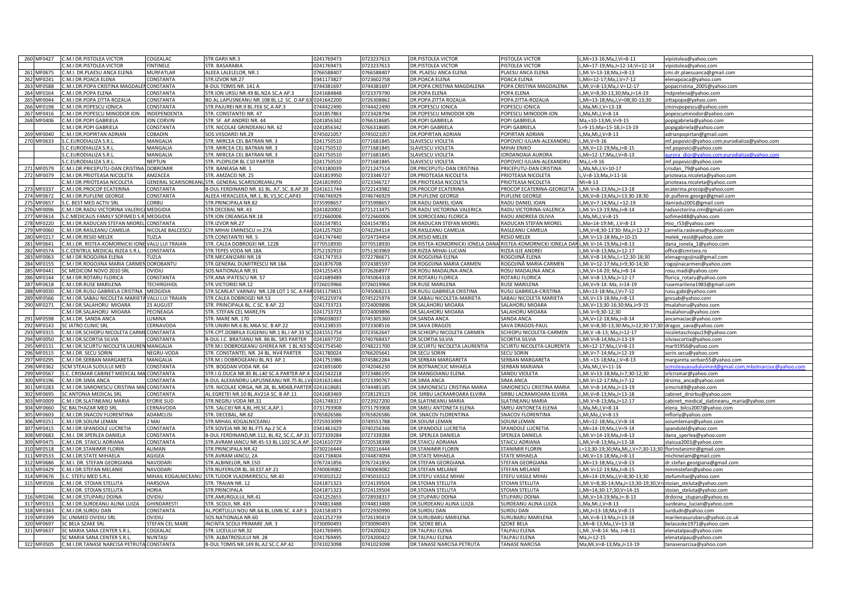|     | 260 MF0427 | C.M.I DR.PISTOLEA VICTOR                                                | COGEALAC                   | STR.GARILNR.3                                                   | 0241769473               | 0723237613               | DR.PISTOLEA VICTOR                                                                   | <b>PISTOLEA VICTOR</b>                | L,Mi=13-16;Ma,J,Vi=8-11                                  | vipistolea@yahoo.com                             |
|-----|------------|-------------------------------------------------------------------------|----------------------------|-----------------------------------------------------------------|--------------------------|--------------------------|--------------------------------------------------------------------------------------|---------------------------------------|----------------------------------------------------------|--------------------------------------------------|
|     |            | C.M.I DR.PISTOLEA VICTOR                                                | INTINELE                   | STR. BASARABIA                                                  | 0241769473               | 0723237613               | <b>DR.PISTOLEA VICTOR</b>                                                            | <b>PISTOLEA VICTOR</b>                | L.Mi=17-19:Ma.J=12-14:Vi=12-14                           | vipistolea@yahoo.com                             |
|     | 261 MF0675 | C.M.I. DR.PLAESU ANCA ELENA                                             | MURFATLAR                  | ALEEA LALELELOR, NR.1                                           | 0766588407               | 0766588407               | DR. PLAESU ANCA ELENA                                                                | <b>LAESU ANCA ELENA</b>               | L.Mi.V=13-18:Ma.J=8-13                                   | cmi.dr.plaesuanca@gmail.com                      |
|     | 262 MF0241 | C.M.I DR.POACA ELENA                                                    | CONSTANTA                  | STR.IZVOR NR.27                                                 | 0341173827               | 0723602758               | DR.POACA ELENA                                                                       | POACA ELENA                           | L, Mii=12-17; Ma, J, V=7-12                              | elenapoaca@yahoo.com                             |
|     | 263 MF0588 | C.M.I.DR.POPA CRISTINA MAGDALEN                                         | CONSTANTA                  | B-DUL TOMIS NR. 141 A                                           | 0744381697               | 0744381697               | DR.POPA CRISTINA MAGDALENA                                                           | POPA CRISTINA MAGDALENA               | L,Mi, V=8-13; Ma, J. V=12-17                             | popacristina_2005@yahoo.com                      |
|     | 264 MF0164 | C.M.I DR.POPA ELENA                                                     | CONSTANTA                  | STR.ION URSU NR.49 BL.N2A SC.A AP.3                             | 0241684848               | 0723379790               | DR.POPA ELENA                                                                        | POPA ELENA                            | L, Mi, V=8; 30-13, 30; Ma, J=14-19                       | mdprelena@yahoo.com                              |
|     | 265 MF0044 | C.M.I DR.POPA ZITTA ROZALIA                                             | CONSTANTA                  | BD.AL.LAPUSNEANU NR.108 BL.L2 SC. D AP.63 0241642200            |                          | 0726308862               | DR.POPA ZITTA ROZALIA                                                                | POPA ZITTA-ROZALIA                    | L, Mi=13-18; Ma, J, V=08; 30-13; 30                      | zittapopa@yahoo.com                              |
|     | 266 MF0198 | .M.I DR.POPESCU IONICA                                                  | CONSTANTA                  | STR.PAJUREI NR.9 BL.FE6 SC.A AP.3                               | 0744422490               | 0744422490               | DR.POPESCU IONICA                                                                    | POPESCU IONICA                        | L.Ma.Mi.J.V=13-18                                        | cminvpopescu@yahoo.com                           |
|     | 267 MF0416 | .M.I DR.POPESCU MINODOR ION                                             | NDEPENDENTA                | <b>STR. CONSTANTEI NR. 47</b>                                   | 0241857863               | 0723428794               | DR.POPESCU MINODOR ION                                                               | OPESCU MINODOR-ION                    | L,Ma,Mi,J,V=8-14                                         |                                                  |
|     |            | .M.I DR.POPI GABRIELA                                                   | ON CORVIN                  | STR. SF. AP.ANDREI NR. 44                                       |                          |                          | DR.POPI GABRIELA                                                                     | OPI GABRIELA                          |                                                          | popescuminodor@yahoo.com                         |
|     | 268 MF0406 |                                                                         |                            |                                                                 | 0241856342               | 0766318685               |                                                                                      |                                       | Ma,=10-13;Mi,V=9-15                                      | popigabriela@yahoo.com                           |
|     |            | .M.I DR.POPI GABRIELA                                                   | CONSTANTA                  | STR. NICOLAE GRINDEANU NR. 62                                   | 0241856342               | 0766318685               | <b>DR.POPI GABRIELA</b>                                                              | <b>POPI GABRIELA</b>                  | L=9-15;Ma=15-18;J=13-19                                  | popigabriela@yahoo.com                           |
|     | 269 MF0040 | C.M.I DR.POPIRTAN ADRIAN                                                | COBADIN                    | SOS.VIISOAREI NR.29                                             | 0745021057               | 0745021057               | DR.POPIRTAN ADRIAN                                                                   | POPIRTAN ADRIAN                       | L, Ma, Mi, J, V=8-13                                     | adrianpopirtan@gmail.com                         |
|     | 270 MF0633 | S.C.EURODIALIZA S.R.L                                                   | MANGALIA                   | STR. MIRCEA CEL BATRAN NR. 3                                    | 0241750510               | 0771681845               | SLAVESCU VIOLETA                                                                     | POPOVICI IULIAN-ALEXANDRU             | L,Mi, V=9-16                                             | mf.popovici@yahoo.com;eurodializa@yahoo.com      |
|     |            | S.C.EURODIALIZA S.R.L                                                   | MANGALIA                   | STR. MIRCEA CEL BATRAN NR. 3                                    | 0241750510               | 0771681845               | <b>SLAVESCU VIOLETA</b>                                                              | MIHAI ENIKO                           | L,Mi,V=12-19;Ma,J=8-15                                   | mf.popovici@yahoo.com                            |
|     |            | S.C.EURODIALIZA S.R.L                                                   | MANGALIA                   | STR. MIRCEA CEL BATRAN NR. 3                                    | 0241750510               | 0771681845               | <b>SLAVESCU VIOLETA</b>                                                              | ORDANOAIA AURORA                      | L,Mi=12-17;Ma,J,V=8-13                                   | aurora dior@yahoo.com;eurodializa@yahoo.com      |
|     |            | S.C.EURODIALIZA S.R.L                                                   | <b>IEPTUN</b>              | STR. PLOPILOR BL C10 PARTER                                     | 0241750510               | 0771681845               | <b>SLAVESCU VIOLETA</b>                                                              | POPOVICI IULIAN-ALEXANDRU             | $Ma.J.=9-16$                                             | mf.popovici@yahoo.com                            |
|     | MF0579     | .M.I.DR.PRICEPUTU-DAN CRISTINA                                          | <b>OBROMIR</b>             | STR. BANEASA NR. 1                                              | 0743180039               | 0721247514               | DR.PRICEPUTU-DAN CRISTINA                                                            | PRICEPUTU-DAN CRISTINA                | "Ma,Mi,J,V=10-17                                         | crisdan_79@yahoo.com                             |
|     | 272 MF0079 | .M.I DR.PRIOTEASA NICOLETA                                              | AMZACEA                    | STR. AMZACEI NR. 25                                             | 0241819950               | 0723346727               | DR.PRIOTEASA NICOLETA                                                                | PRIOTEASA NICOLETA                    | L,V=8-13;Ma,J=11-16                                      | prioteasa.nicoleta@yahoo.com                     |
|     |            | .M.I DR.PRIOTEASA NICOLETA                                              |                            | GENERAL SCARISOREANUSTR. GENERAL SCARISOREANU, FN               | 0241819950               | 0723346727               | DR.PRIOTEASA NICOLETA                                                                | PRIOTEASA NICOLETA                    | $M = 8-13$                                               | prioteasa.nicoleta@yahoo.com                     |
|     | 273 MF0337 | C.M.I DR.PROCOP ECATERINA                                               | CONSTANTA                  | B-DUL FERDINAND NR. 61 BL. A7. SC. B.AP.39                      | 0241611744               | 0722143982               | DR.PROCOP ECATERINA                                                                  | PROCOP ECATERINA-GEORGETA             | L, Mi.V=8-13; Ma, J=13-18                                | ecaterina.procop@yahoo.com                       |
|     | 274 MF0672 | C.M.I DR.PUFLENE GEORGE                                                 | CONSTANTA                  | ALEEA HERACLEEA, NR.1, BL.V1,SC.C,AP43                          | 0746746929               | 0746746929               | DR.PUFLENE GEORGE                                                                    | PUFLENE GEORGE                        | L,Mi, V=8-13; Ma, J=13:30-18:30                          | dr.puflene.george@gmail.com                      |
|     | 275 MF0657 | .C. BEST MED ACTIV SRL                                                  | CORBU                      | STR. PRINCIPALA NR.82                                           | 0735998657               | 0735998657               | DR.RADU DANIEL IOAN                                                                  | RADU DANIEL IOAN                      | L,Mi,V=7-14;Ma,J =12-19                                  | danradu2001@gmail.com                            |
|     | 276 MF0096 |                                                                         | <b>MEDGIDIA</b>            | <b>STR.DECEBAL NR. 43</b>                                       | 0241820002               | 0721213475               |                                                                                      |                                       |                                                          |                                                  |
|     |            | M.I DR. RADU VICTORINA VALERIO                                          |                            |                                                                 |                          |                          | DR.RADU VICTORINA VALERICA                                                           | RADU VICTORINA-VALERICA               | L, Mi. V=13-19; Ma, J=8-14                               | raduvictorina.cmi@gmail.com                      |
|     | 277 MF0614 | .C.MEDICALIS FAMILY SOFIMED S.R                                         | <b>MEDGIDIA</b>            | STR.ION CREANGA NR.18                                           | 0722660006               | 0722660006               | DR.SOROCEANU FLORICA                                                                 | RADU ANDREEA OLIVIA                   | "Ma,Mi,J,V=8-15                                          | sofimed48@yahoo.com                              |
|     | 278 MF0220 | .M.I DR.RADUCAN STEFAN MIOREL                                           | CONSTANTA                  | STR.IZVOR NR.27                                                 | 0241547851               | 0241547851               | DR.RADUCAN STEFAN MIOREL                                                             | RADUCAN STEFAN MIOREL                 | L,Ma=14-19:Mi, J,V=8-13                                  | mio_r53@yahoo.com                                |
|     | 279 MF0060 | C.M.I DR.RASLEANU CAMELIA                                               | NICOLAE BALCESCU           | STR.MIHAI EMINESCU nr.27A                                       | 0241257920               | 0742294114               | DR.RASLEANU CAMELIA                                                                  | RASLEANU CAMELIA                      | L, Mi, V=8; 30-13'30: Ma, J=12-17                        | camelia.rasleanu@yahoo.com                       |
|     | 280 MF0217 | C.M.I DR.RESID MELEK                                                    | TUZLA                      | STR.CONSTANTEI NR. 5                                            | 0241747440               | 0724734454               | DR.RESID MELEK                                                                       | <b>RESID MELEK</b>                    | L.Mi.V=13-18:Ma.J=10-15                                  | melek_resid@yahoo.com                            |
|     | 281 MF0641 | C.M.I.DR. RISTEA-KOMORNICKI IONE VALU LUI TRAIAN                        |                            | STR. CALEA DOBROGEI NR. 122B                                    | 0770518930               | 0770518930               | DR.RISTEA-KOMORNICKI IONELA DANA RISTEA-KOMORNICKI IONELA DAN L,Mi.V=14-19;Ma,J=8-13 |                                       |                                                          | dana_ionela_1@yahoo.com                          |
|     | 282 MF0574 | S.C.CENTRUL MEDICAL RIZEA S.R.L.                                        | CONSTANTA                  | STR.TEPES VODA NR.18A                                           | 0752192910               | 0751303969               | DR.RIZEA MIHAI-LUCIAN                                                                | RIZEA ILIE ANDREI                     | L.Mi.V=8-13:Ma.J=12-17                                   | office@cmrizea.ro                                |
|     | 283 MF0063 | C.M.I DR.ROGOJINA ELENA                                                 | UZLA                       | STR.MECANIZARII NR.18                                           | 0241747353               | 0722786671               | DR.ROGOJINA ELENA                                                                    | IOGOJINĂ FI FNA                       | L.Mi.V=8-14:Ma.J.=12:30-18:30                            | elenagrogojina@gmail.com                         |
|     | 284 MF0155 | .M.I DR.ROGOJINA MARIA CARMEI                                           | <b>OROBANTU</b>            | STR.GENERAL DUMITRESCU NR 18A                                   | 0241876708               | 0724385597               | DR.ROGOJINA MARIA CARMEN                                                             | ROGOJINĂ MARIA-CARMEN                 | L, Mi. V=12-17; Ma, J=9; 30-14; 30                       | rogojinacarmen@yahoo.com                         |
|     | 285 MF0441 | C MEDICOM NOVO 2010 SR                                                  | JVIDIU                     | SOS.NATIONALA NR.91                                             | 0241255453               | 0726268977               | DR.ROSU MADALINA-ANCA                                                                | ROSU MADALINA ANCA                    | L, Mi, V=14-20; Ma, J=8-14                               | rosu.madi@vahoo.con                              |
|     | 286 MF0144 | C.M.I DR.ROTARU FLORICA                                                 | CONSTANTA                  | STR.ANA IPATESCU NR. 57                                         | 0241689489               | 0745064318               | DR.ROTARU FLORICA                                                                    | ROTARU FLORICA                        | L,Mi.V=8-13;Ma,J=12-17                                   | florica_rotaru@yahoo.com                         |
|     | 287 MF0618 | .M.I.DR.RUSE MARILENA                                                   | <b>TECHIRGHIOI</b>         | STR.VICTORIEI NR.12                                             | 0726019966               | 0726019966               | DR.RUSE MARILENA                                                                     | RUSE MARILENA                         | L,Mi,V=9-14: Ma, J=14-19                                 | rusemarilena1983@gmail.com                       |
|     |            |                                                                         |                            |                                                                 |                          |                          |                                                                                      |                                       |                                                          |                                                  |
|     | 288 MF0030 | M.I DR.RUSU GABRIELA CRISTINA                                           | MEDGIDIA                   | STR.SCARLAT VARNAV NR.12B LOT 1 SC. A PAR 0341179815            |                          | 0745068213               | DR.RUSU GABRIELA CRISTINA                                                            | <b>RUSU GABRIELA-CRISTINA</b>         | L, Mi=13-18: Ma, J, V=7-12                               | rusu.gabi@yahoo.com                              |
|     | 289 MF0566 | M.I DR.SABAU NICOLETA-MARIET                                            | <b>ALU LUI TRAIAN</b>      | <b>STR.CALEA DOBROGEI NR.53</b>                                 | 0745225974               | 0745225974               | DR.SABAU NICOLETA-MARIETA                                                            | ABAU NICOLETA MARIETA                 | L.Mi.V=13-18:Ma.J=8-13                                   | gncsab@yahoo.com                                 |
|     | 290 MF0271 | .M.I DR.SALAHORU MIOARA                                                 | 23 AUGUST                  | STR. PRINCIPALA BL. C SC. B AP. 22                              | 0241733723               | 0724009896               | DR.SALAHORU MIOARA                                                                   | <b>ALAHORU MIOARA</b>                 | "Mi, V=13;30-16;30;Ma, J=9-15                            | msalahoru@yahoo.com                              |
|     |            |                                                                         |                            |                                                                 |                          |                          |                                                                                      |                                       |                                                          |                                                  |
|     |            | .M.I DR.SALAHORU MIOARA                                                 | PECINEAGA                  | STR. STEFAN CEL MARE,FN                                         | 0241733723               | 0724009896               | DR.SALAHORU MIOARA                                                                   | <b>SALAHORU MIOARA</b>                | L,Mi.V=9;30-12;30                                        | msalahoru@yahoo.com                              |
|     | 291 MF0598 | C.M.I.DR. SANDA ANCA                                                    | UMINA                      | STR. MARE NR. 170                                               | 0786038037               | 0745305360               | DR.SANDA ANCA                                                                        | SANDA ANCA                            | L, Mi, V=12-18; Ma, J=8-14                               | ancamaciac@yahoo.com                             |
|     | 292 MF0143 | SC IATRO CLINIC SRL                                                     | CERNAVODA                  | STR.UNIRII NR.6 BL.M6A SC. B AP.22                              | 0241238535               | 0723308516               | DR.SAVA DRAGOS                                                                       | SAVA DRAGOS-PAUL                      | L,Mi.V=8;30-13;30:Ma,J=12;30-17;30 dragos_sava@yahoo.com |                                                  |
|     | 293 MF0315 | C.M.I DR.SCHIOPU NICOLETA CARME CONSTANTA                               |                            | STR.CPT.DOBRILA EUGENIU NR.1 BL.I AP.33 9                       | 0241551754               | 0723562647               | DR.SCHIOPU NICOLETA CARMEN                                                           | <b>SCHIOPU NICOLETA-CARMEN</b>        | L,Mi, V = 8-13; Ma, J = 12-17                            | nicoletaschiopu19@yahoo.com                      |
|     | 294 MF0050 | C.M.I DR.SCORTIA SILVIA                                                 | CONSTANTA                  | B-DUL I.C. BRATIANU NR. 86 BL. SR5 PARTER                       | 0241697720               | 0740768437               | DR.SCORTIA SILVIA                                                                    | <b>SCORTIA SILVIA</b>                 | L.Mi.V=8-14:Ma.J=13-19                                   | silviascortia@yahoo.com                          |
|     |            |                                                                         |                            |                                                                 |                          |                          |                                                                                      |                                       |                                                          |                                                  |
|     | 295 MF0131 | .M.I DR.SCURTU NICOLETA LAUREN                                          | MANGALIA                   | STR.M.I.DOBROGEANU GHEREA NR. 1 BL.N3 9                         | 0241754540               | 0748221700               | DR.SCURTU NICOLETA LAURENTIA                                                         | SCURTU NICOLETA-LAURENTA              | L, Mi=12-17; Ma, J, V=8-1                                | mar91956@yahoo.com                               |
|     | 296 MF0515 | .M.I.DR. SECU SORIN                                                     | <b>IEGRU-VODA</b>          | STR. CONSTANTEI, NR. 24 BL. NV4 PARTER                          | 0241780024               | 0766205641               | DR.SECU SORIN                                                                        | <b>SECU SORIN</b>                     | .,Mi,V=7-14;Ma,J=12-19                                   | sorin.secu@yahoo.com                             |
|     | 297 MF0295 | .M.I DR.SERBAN MARGARETA                                                | MANGALIA                   | STR.M.I.DOBROGEANU BL.N3 AP.1                                   | 0241751986               | 0745862284               | DR.SERBAN MARGARETA                                                                  | SERBAN MARGARETA                      | L, Mi.=13-18; Ma, J, V=8-13                              | margareta.serban55@yahoo.com                     |
|     | 298 MF0362 | <b>SCM STEAUA SUDULUI MED</b>                                           | CONSTANTA                  | STR. BOGDAN VODA NR. 64                                         | 0241691600               | 0742046230               | DR.BOTNARCIUC MIHAELA                                                                | SERBAN MARIANA                        | L,Ma,Mi,J,V=11-16                                        | comimbotancius@vaboo.co                          |
|     | 299 MF0567 | S.C. CRISMAR CABINET MEDICAL MA CONSTANTA                               |                            | STR.I.G.DUCA NR.85 BL.L40 SC.A PARTER AP.4 0241542218           |                          | 0723486195               | DR.MANGOIANU ELENA                                                                   | SANDU VIOLETA                         | L, Mi. V=13-18; Ma, J=7; 30-12; 30                       | srlcrismar@yahoo.com                             |
|     | 300 MF0196 | C.M.I DR.SIMA ANCA                                                      | CONSTANTA                  | B-DUL ALEXANDRU LAPUSNEANU NR.75 BL.LV40241631464               |                          | 0723390767               | DR.SIMA ANCA                                                                         | <b>SIMA ANCA</b>                      | L, Mi.V=12-17; Ma, J=7-12                                | drsima anca@yahoo.com                            |
|     | 301 MF0283 | .M.I DR.SIMIONESCU CRISTINA MA                                          | CONSTANTA                  | TR. NICOLAE IORGA, NR.28, BL.MD6B, PARTER 0241618681            |                          | 0744485185               | DR.SIMIONESCU CRISTINA MARIA                                                         | <b>SIMIONESCU CRISTINA MARIA</b>      | L, Mi. V=8-14; Ma, J=13-19                               | imcris69@yahoo.com                               |
|     | 302 MF0695 | <b>SC ANTONIA MEDICAL SRL</b>                                           | CONSTANTA                  | AL.EGRETEI NR.10 BL.AV21A SC. B AP.11                           | 0241683469               | 0728129123               | DR. SIRBU LACRAMIOARA ELVIRA                                                         | IRBU LACRAMIOARA ELVIRA               | L, Mi, V=8-13; Ma, J=13-18                               | cabinet_drsirbu@yahoo.com                        |
|     | 303 MF0009 | .M.I DR.SLATINEANU MARIA                                                | <b>EFORIE SUD</b>          | STR.NEGRU VODA NR.31                                            | 0241748317               | 0723927200               | DR.SLATINEANU MARIA                                                                  | SLATINEANU MARIA                      | .,Mi.V=8-13;Ma,J=12-17                                   | cabinet medical slatineanu maria@yahoo.com       |
|     | 304 MF0660 | SC BALTHAZAR MED SRL                                                    | <b>CERNAVODA</b>           | STR. SALCIEI NR.4, BL. H9, SC.A, AP.1                           | 0731793908               | 0731793908               | DR.SMEU ANTONETA ELENA                                                               | SMEU ANTONETA ELENA                   | L, Ma, Mi, J, V=8-14                                     | elena_bilcu2007@yahoo.com                        |
|     | 305 MF0603 | C.M.I.DR.SNACOV FLORENTINA                                              | ADAMCLISI                  | STR. DECEBAL, NR.62                                             | 0765826586               | 0765826586               | DR. SNACOV FLORENTINA                                                                | SNACOV FLORENTINA                     | L, Mi, Ma, J, V=8-13                                     | mfloriy@yahoo.com                                |
|     | 306 MF0251 | C.M.I DR.SOIUM LEMAN                                                    | 2 MAI                      | STR. MIHAIL KOGALNICEANU                                        | 0725933099               | 0749551788               | DR.SOIUM LEMAN                                                                       | <b>SOIUM LEMAN</b>                    | L,Mi=12-18;Ma,J,V=8-14                                   | soiumleman@yahoo.com                             |
|     | 307 MF0415 | C.M.I DR.SPANDOLE LUCRETIA                                              | CONSTANTA                  | STR.SOVEJA NR.90 BL.FT5 Ap.2 SC A                               | 0341461629               | 0740256346               | DR.SPANDOLE LUCRETIA                                                                 | SPANDOLE LUCRETIA                     | L,Mi=14-19;Ma,J,V=9-14                                   | spandolel@yahoo.com                              |
|     | 308 MF0683 | C.M.I. DR.SPERLEA DANIEL/                                               |                            | B-DUL FERDINAND.NR.112, BL.R2, SC.C. AP.31 0727339284           |                          | 0727339284               | DR. SPERLEA DANIELA                                                                  | SPERLEA DANIELA                       | L.Mi.V=14-19:Ma.J=8-13                                   |                                                  |
|     |            |                                                                         | CONSTANTA                  |                                                                 |                          |                          |                                                                                      |                                       |                                                          | dana sperlea@yahoo.com                           |
|     | 309 MF0475 | C.M.I.DR. STAICU ADRIANA                                                | CONSTANTA                  | STR.AVRAM IANCU NR.45-53 BL L102 SC.A AP. 0241610729            |                          | 0720538398               | DR.STAICU ADRIANA                                                                    | <b>STAICU ADRIANA</b>                 | L.Mi.V=8-13:Ma.J=13-18                                   | staicua2001@yahoo.com                            |
|     | 310 MF0518 | .M.I DR.STANIMIR FLORIN                                                 | ALIMAN                     | STR.PRINCIPALA NR.42                                            | 0730216444               | 0730216444               | DR.STANIMIR FLORIN                                                                   | <b>STANIMIR FLORIN</b>                | L=13;30-19;30;Ma,Mi,J,V=7;30-13;30                       | florinstanimir@gmail.com                         |
|     | 311 MF0533 | .M.I.DR.STATE MIHAELA                                                   | AGIGEA                     | STR.AVRAM IANCU, 2A                                             | 0241738404               | 0744874094               | DR.STATE MIHAELA                                                                     | <b>STATE MIHAELA</b>                  | L,Mi,V=13-18;Ma,J=8-1                                    | michinelam@gmail.cor                             |
|     | 312 MF0686 | .M.I. DR. STEFAN GEORGIANA                                              | <b>NAVODARI</b>            | STR.ALBINELOR. NR.15D                                           | 0767241856               | 0767241856               | <b>DR.STEFAN GEORGIANA</b>                                                           | <b>STEFAN GEORGIANA</b>               | L,Mi=13-18;Ma,J,V=8-13                                   | dr.stefan.georgiana@gmail.com                    |
|     | 313 MF0429 | .M.I DR.STEFAN MELANIE                                                  | NAVODARI                   | STR.NUFERILOR BL.36 EST AP.21                                   | 0740069082               | 0740069082               | DR.STEFAN MELANIE                                                                    | <b>STEFAN MELANIE</b>                 | .,Mi.V=12-19;Ma,J=8-15                                   | mmmstefan@yahoo.com                              |
|     | 314 MF0676 | .C. STEEU MED S.R.L                                                     | <b>MIHAIL KOGALNICEANU</b> | STR.TUDOR VLADIMIRESCU, NR.40                                   | 0745010122               | 0745010122               | DR.STEFU VASILE MIHAI                                                                | STEFU VASILE MIHAI                    | .,Mi=14-19;Ma,J,V=8;30-13;30                             | stefumihai@yahoo.com                             |
|     | 315 MF0556 | M.I DR. STOIAN STELUTA                                                  | <b>IARSOVA</b>             | <b>STR. TRAIAN NR. 12</b>                                       | 0241871323               | 0724139504               | DR.STOIAN STELUTA                                                                    | <b>TOIAN STELUTA</b>                  | .Mi.V=8:30-14:Ma.J=13:30-19:30:V                         | = stoian_steluta@yahoo.com                       |
|     |            | .M.I DR. STOIAN STELUTA                                                 | <b>ORIA</b>                | STR. PRINCIPALA                                                 | 0241871323               | 0724139504               | DR.STOIAN STELUTA                                                                    | <b>TOIAN STELUTA</b>                  | "Mi=14;30-17;30;V=14-15                                  | stoian_steluta@yahoo.com                         |
|     | 316 MF0246 | .M.I DR.STUPARU DOINA                                                   | UIQIVC                     | STR.AMURGULUI, NR.41                                            | 0241252655               | 0728938317               | DR.STUPARU DOINA                                                                     | <b>STUPARU DOINA</b>                  | L, Mi, V=14-19; Ma, J=-8-13                              | drdoina_stuparu@yahoo.es                         |
|     | 317 MF0313 | C.M.I DR.SURDEANU ALINA LUIZA                                           | <b>GHINDARESTI</b>         | STR. SCOLII, NR. 435                                            | 0744813488               | 0744813488               | DR.SURDEANU ALINA LUIZA                                                              | SURDEANU ALINA LUIZA                  | L, Ma, Mi.J, V=8-13                                      | surdeanu_lucian@yahoo.com                        |
|     | 318 MF0343 | C.M.I DR.SURDU DAN                                                      |                            |                                                                 |                          |                          | DR.SURDU DAN                                                                         | SURDU DAN                             |                                                          |                                                  |
|     |            |                                                                         | CONSTANTA                  | AL.PORTULUI NOU NR.6A BL.UM6 SC. 4 AP.3                         | 0241583873               | 0722930990               |                                                                                      |                                       | L, Mi, J=13-18; Ma, V=8-13                               | surdudn@yahoo.com                                |
|     | 319 MF0399 | SC UNIMED OVIDIU SRL                                                    | UIUIVC                     | SOS.NATIONALA NR.60                                             | 0241252739               | 0726190419               | DR.SURUBARU MARILENA                                                                 | SURUBARU MARILENA                     | L,Mi, V=8-13: Ma, J=13-18                                | marilenasurubaru@yahoo.co.uk                     |
|     | 320 MF0697 | SC BELA SZAKE SRI                                                       | <b>STEFAN CEL MARE</b>     | <b>NCINTA SCOLII PRIMARE .NR. 3</b>                             | 0730090493               | 0730090493               | DR. SZOKE BELA                                                                       | SZOKE BELA                            | L.Mi=8-13:Ma.J.V=13-18                                   | belaszoke1971@yahoo.com                          |
| 321 | MF0637     | C MARIA SANA CENTER S.R.I                                               | OGEALA                     | STR. LICEULUI NR.32                                             | 0241769495               | 0724200422               | DR.TALPAU ELENA                                                                      | TALPAU ELENA                          | "Mi., V=8-14: Ma, J=8-11                                 | elenatalpau@yahoo.com                            |
|     | 322 MF0505 | SC MARIA SANA CENTER S.R.L<br>C.M.I.DR.TANASE NARCISA PETRUTA CONSTANTA | <b>NUNTASI</b>             | STR. ALBATROSULUI NR. 28<br>B-DUL TOMIS NR.149 BL.A2 SC.C AP.42 | 0241769495<br>0741023098 | 0724200422<br>0741023098 | DR.TALPAU ELENA<br>DR.TANASE NARCISA PETRUTA                                         | TALPAU ELENA<br><b>TANASE NARCISA</b> | Ma,J=12-15<br>Ma, Mi, V=8-13; Ma, J=13-19                | elenatalpau@yahoo.com<br>tanasenarcisa@yahoo.com |